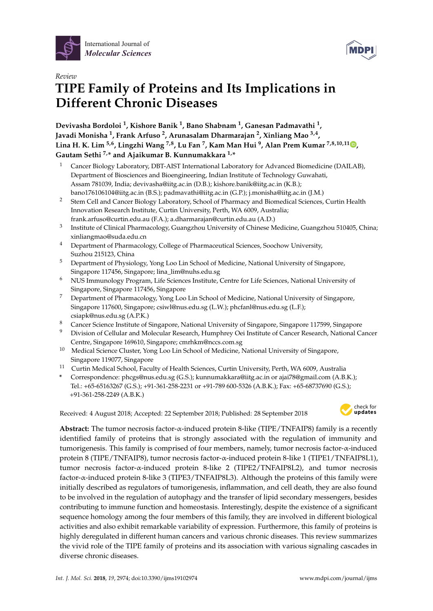



# *Review* **TIPE Family of Proteins and Its Implications in Different Chronic Diseases**

**Devivasha Bordoloi <sup>1</sup> , Kishore Banik <sup>1</sup> , Bano Shabnam <sup>1</sup> , Ganesan Padmavathi <sup>1</sup> , Javadi Monisha <sup>1</sup> , Frank Arfuso <sup>2</sup> , Arunasalam Dharmarajan <sup>2</sup> , Xinliang Mao 3,4 , Lina H. K. Lim 5,6, Lingzhi Wang 7,8, Lu Fan <sup>7</sup> , Kam Man Hui <sup>9</sup> , Alan Prem Kumar 7,8,10,11 [,](https://orcid.org/0000-0002-3754-5712) Gautam Sethi 7,\* and Ajaikumar B. Kunnumakkara 1,\***

- <sup>1</sup> Cancer Biology Laboratory, DBT-AIST International Laboratory for Advanced Biomedicine (DAILAB), Department of Biosciences and Bioengineering, Indian Institute of Technology Guwahati, Assam 781039, India; devivasha@iitg.ac.in (D.B.); kishore.banik@iitg.ac.in (K.B.); bano176106104@iitg.ac.in (B.S.); padmavathi@iitg.ac.in (G.P.); j.monisha@iitg.ac.in (J.M.)
- <sup>2</sup> Stem Cell and Cancer Biology Laboratory, School of Pharmacy and Biomedical Sciences, Curtin Health Innovation Research Institute, Curtin University, Perth, WA 6009, Australia; frank.arfuso@curtin.edu.au (F.A.); a.dharmarajan@curtin.edu.au (A.D.)
- 3 Institute of Clinical Pharmacology, Guangzhou University of Chinese Medicine, Guangzhou 510405, China; xinliangmao@suda.edu.cn
- <sup>4</sup> Department of Pharmacology, College of Pharmaceutical Sciences, Soochow University, Suzhou 215123, China
- <sup>5</sup> Department of Physiology, Yong Loo Lin School of Medicine, National University of Singapore, Singapore 117456, Singapore; lina\_lim@nuhs.edu.sg
- <sup>6</sup> NUS Immunology Program, Life Sciences Institute, Centre for Life Sciences, National University of Singapore, Singapore 117456, Singapore
- <sup>7</sup> Department of Pharmacology, Yong Loo Lin School of Medicine, National University of Singapore, Singapore 117600, Singapore; csiwl@nus.edu.sg (L.W.); phcfanl@nus.edu.sg (L.F.); csiapk@nus.edu.sg (A.P.K.)
- <sup>8</sup> Cancer Science Institute of Singapore, National University of Singapore, Singapore 117599, Singapore
- <sup>9</sup> Division of Cellular and Molecular Research, Humphrey Oei Institute of Cancer Research, National Cancer Centre, Singapore 169610, Singapore; cmrhkm@nccs.com.sg
- <sup>10</sup> Medical Science Cluster, Yong Loo Lin School of Medicine, National University of Singapore, Singapore 119077, Singapore
- <sup>11</sup> Curtin Medical School, Faculty of Health Sciences, Curtin University, Perth, WA 6009, Australia
- **\*** Correspondence: phcgs@nus.edu.sg (G.S.); kunnumakkara@iitg.ac.in or ajai78@gmail.com (A.B.K.); Tel.: +65-65163267 (G.S.); +91-361-258-2231 or +91-789 600-5326 (A.B.K.); Fax: +65-68737690 (G.S.); +91-361-258-2249 (A.B.K.)

Received: 4 August 2018; Accepted: 22 September 2018; Published: 28 September 2018 -



**Abstract:** The tumor necrosis factor-α-induced protein 8-like (TIPE/TNFAIP8) family is a recently identified family of proteins that is strongly associated with the regulation of immunity and tumorigenesis. This family is comprised of four members, namely, tumor necrosis factor-α-induced protein 8 (TIPE/TNFAIP8), tumor necrosis factor-α-induced protein 8-like 1 (TIPE1/TNFAIP8L1), tumor necrosis factor-α-induced protein 8-like 2 (TIPE2/TNFAIP8L2), and tumor necrosis factor-α-induced protein 8-like 3 (TIPE3/TNFAIP8L3). Although the proteins of this family were initially described as regulators of tumorigenesis, inflammation, and cell death, they are also found to be involved in the regulation of autophagy and the transfer of lipid secondary messengers, besides contributing to immune function and homeostasis. Interestingly, despite the existence of a significant sequence homology among the four members of this family, they are involved in different biological activities and also exhibit remarkable variability of expression. Furthermore, this family of proteins is highly deregulated in different human cancers and various chronic diseases. This review summarizes the vivid role of the TIPE family of proteins and its association with various signaling cascades in diverse chronic diseases.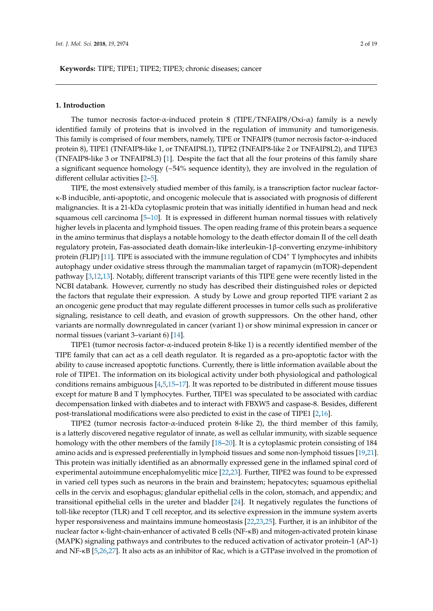**Keywords:** TIPE; TIPE1; TIPE2; TIPE3; chronic diseases; cancer

#### **1. Introduction**

The tumor necrosis factor- $\alpha$ -induced protein 8 (TIPE/TNFAIP8/Oxi- $\alpha$ ) family is a newly identified family of proteins that is involved in the regulation of immunity and tumorigenesis. This family is comprised of four members, namely, TIPE or TNFAIP8 (tumor necrosis factor-α-induced protein 8), TIPE1 (TNFAIP8-like 1, or TNFAIP8L1), TIPE2 (TNFAIP8-like 2 or TNFAIP8L2), and TIPE3 (TNFAIP8-like 3 or TNFAIP8L3) [\[1\]](#page-13-0). Despite the fact that all the four proteins of this family share a significant sequence homology (~54% sequence identity), they are involved in the regulation of different cellular activities [\[2](#page-13-1)[–5\]](#page-14-0).

TIPE, the most extensively studied member of this family, is a transcription factor nuclear factorκ-B inducible, anti-apoptotic, and oncogenic molecule that is associated with prognosis of different malignancies. It is a 21-kDa cytoplasmic protein that was initially identified in human head and neck squamous cell carcinoma [\[5](#page-14-0)[–10\]](#page-14-1). It is expressed in different human normal tissues with relatively higher levels in placenta and lymphoid tissues. The open reading frame of this protein bears a sequence in the amino terminus that displays a notable homology to the death effector domain II of the cell death regulatory protein, Fas-associated death domain-like interleukin-1β-converting enzyme-inhibitory protein (FLIP) [\[11\]](#page-14-2). TIPE is associated with the immune regulation of CD4<sup>+</sup> T lymphocytes and inhibits autophagy under oxidative stress through the mammalian target of rapamycin (mTOR)-dependent pathway [\[3](#page-13-2)[,12](#page-14-3)[,13\]](#page-14-4). Notably, different transcript variants of this TIPE gene were recently listed in the NCBI databank. However, currently no study has described their distinguished roles or depicted the factors that regulate their expression. A study by Lowe and group reported TIPE variant 2 as an oncogenic gene product that may regulate different processes in tumor cells such as proliferative signaling, resistance to cell death, and evasion of growth suppressors. On the other hand, other variants are normally downregulated in cancer (variant 1) or show minimal expression in cancer or normal tissues (variant 3–variant 6) [\[14\]](#page-14-5).

TIPE1 (tumor necrosis factor- $\alpha$ -induced protein 8-like 1) is a recently identified member of the TIPE family that can act as a cell death regulator. It is regarded as a pro-apoptotic factor with the ability to cause increased apoptotic functions. Currently, there is little information available about the role of TIPE1. The information on its biological activity under both physiological and pathological conditions remains ambiguous [\[4,](#page-13-3)[5,](#page-14-0)[15–](#page-14-6)[17\]](#page-14-7). It was reported to be distributed in different mouse tissues except for mature B and T lymphocytes. Further, TIPE1 was speculated to be associated with cardiac decompensation linked with diabetes and to interact with FBXW5 and caspase-8. Besides, different post-translational modifications were also predicted to exist in the case of TIPE1 [\[2,](#page-13-1)[16\]](#page-14-8).

TIPE2 (tumor necrosis factor-α-induced protein 8-like 2), the third member of this family, is a latterly discovered negative regulator of innate, as well as cellular immunity, with sizable sequence homology with the other members of the family [\[18–](#page-14-9)[20\]](#page-14-10). It is a cytoplasmic protein consisting of 184 amino acids and is expressed preferentially in lymphoid tissues and some non-lymphoid tissues [\[19](#page-14-11)[,21\]](#page-14-12). This protein was initially identified as an abnormally expressed gene in the inflamed spinal cord of experimental autoimmune encephalomyelitic mice [\[22](#page-14-13)[,23\]](#page-15-0). Further, TIPE2 was found to be expressed in varied cell types such as neurons in the brain and brainstem; hepatocytes; squamous epithelial cells in the cervix and esophagus; glandular epithelial cells in the colon, stomach, and appendix; and transitional epithelial cells in the ureter and bladder [\[24\]](#page-15-1). It negatively regulates the functions of toll-like receptor (TLR) and T cell receptor, and its selective expression in the immune system averts hyper responsiveness and maintains immune homeostasis [\[22,](#page-14-13)[23,](#page-15-0)[25\]](#page-15-2). Further, it is an inhibitor of the nuclear factor κ-light-chain-enhancer of activated B cells (NF-κB) and mitogen-activated protein kinase (MAPK) signaling pathways and contributes to the reduced activation of activator protein-1 (AP-1) and NF-κB [\[5,](#page-14-0)[26](#page-15-3)[,27\]](#page-15-4). It also acts as an inhibitor of Rac, which is a GTPase involved in the promotion of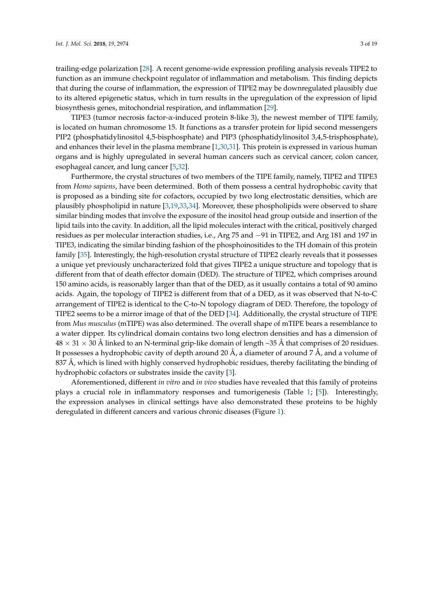trailing-edge polarization [\[28\]](#page-15-5). A recent genome-wide expression profiling analysis reveals TIPE2 to function as an immune checkpoint regulator of inflammation and metabolism. This finding depicts that during the course of inflammation, the expression of TIPE2 may be downregulated plausibly due to its altered epigenetic status, which in turn results in the upregulation of the expression of lipid biosynthesis genes, mitochondrial respiration, and inflammation [\[29\]](#page-15-6).

TIPE3 (tumor necrosis factor- $\alpha$ -induced protein 8-like 3), the newest member of TIPE family, is located on human chromosome 15. It functions as a transfer protein for lipid second messengers PIP2 (phosphatidylinositol 4,5-bisphosphate) and PIP3 (phosphatidylinositol 3,4,5-trisphosphate), and enhances their level in the plasma membrane [\[1](#page-13-0)[,30](#page-15-7)[,31\]](#page-15-8). This protein is expressed in various human organs and is highly upregulated in several human cancers such as cervical cancer, colon cancer, esophageal cancer, and lung cancer [\[5,](#page-14-0)[32\]](#page-15-9).

Furthermore, the crystal structures of two members of the TIPE family, namely, TIPE2 and TIPE3 from *Homo sapiens*, have been determined. Both of them possess a central hydrophobic cavity that is proposed as a binding site for cofactors, occupied by two long electrostatic densities, which are plausibly phospholipid in nature [\[3,](#page-13-2)[19,](#page-14-11)[33](#page-15-10)[,34\]](#page-15-11). Moreover, these phospholipids were observed to share similar binding modes that involve the exposure of the inositol head group outside and insertion of the lipid tails into the cavity. In addition, all the lipid molecules interact with the critical, positively charged residues as per molecular interaction studies, i.e., Arg 75 and −91 in TIPE2, and Arg 181 and 197 in TIPE3, indicating the similar binding fashion of the phosphoinositides to the TH domain of this protein family [\[35\]](#page-15-12). Interestingly, the high-resolution crystal structure of TIPE2 clearly reveals that it possesses a unique yet previously uncharacterized fold that gives TIPE2 a unique structure and topology that is different from that of death effector domain (DED). The structure of TIPE2, which comprises around 150 amino acids, is reasonably larger than that of the DED, as it usually contains a total of 90 amino acids. Again, the topology of TIPE2 is different from that of a DED, as it was observed that N-to-C arrangement of TIPE2 is identical to the C-to-N topology diagram of DED. Therefore, the topology of TIPE2 seems to be a mirror image of that of the DED [\[34\]](#page-15-11). Additionally, the crystal structure of TIPE from *Mus musculus* (mTIPE) was also determined. The overall shape of mTIPE bears a resemblance to a water dipper. Its cylindrical domain contains two long electron densities and has a dimension of  $48 \times 31 \times 30$  Å linked to an N-terminal grip-like domain of length ~35 Å that comprises of 20 residues. It possesses a hydrophobic cavity of depth around 20 Å, a diameter of around 7 Å, and a volume of 837 Å, which is lined with highly conserved hydrophobic residues, thereby facilitating the binding of hydrophobic cofactors or substrates inside the cavity [\[3\]](#page-13-2).

Aforementioned, different *in vitro* and *in vivo* studies have revealed that this family of proteins plays a crucial role in inflammatory responses and tumorigenesis (Table [1;](#page-6-0) [\[5\]](#page-14-0)). Interestingly, the expression analyses in clinical settings have also demonstrated these proteins to be highly deregulated in different cancers and various chronic diseases (Figure [1\)](#page-7-0).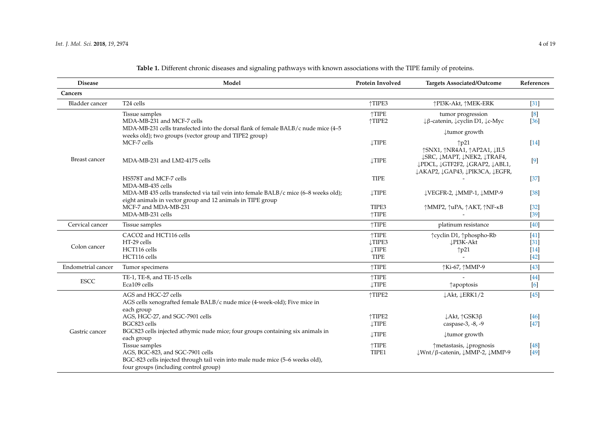| <b>Disease</b>     | Model                                                                                                                                             | <b>Protein Involved</b> | <b>Targets Associated/Outcome</b>                                                                | References                  |
|--------------------|---------------------------------------------------------------------------------------------------------------------------------------------------|-------------------------|--------------------------------------------------------------------------------------------------|-----------------------------|
| Cancers            |                                                                                                                                                   |                         |                                                                                                  |                             |
| Bladder cancer     | T24 cells                                                                                                                                         | ↑TIPE3                  | ↑PI3K-Akt, ↑MEK-ERK                                                                              | $[31]$                      |
| Breast cancer      | Tissue samples<br>MDA-MB-231 and MCF-7 cells                                                                                                      | <b>TIPE</b><br>↑TIPE2   | tumor progression<br>$\downarrow$ $\beta$ -catenin, $\downarrow$ cyclin D1, $\downarrow$ c-Myc   | $\lceil 8 \rceil$<br>$[36]$ |
|                    | MDA-MB-231 cells transfected into the dorsal flank of female BALB/c nude mice (4-5<br>weeks old); two groups (vector group and TIPE2 group)       |                         | $\downarrow$ tumor growth                                                                        |                             |
|                    | MCF-7 cells                                                                                                                                       | $\downarrow$ TIPE       | $\uparrow p21$<br>↑SNX1, ↑NR4A1, ↑AP2A1, ↓IL5                                                    | $[14]$                      |
|                    | MDA-MB-231 and LM2-4175 cells                                                                                                                     | $\downarrow$ TIPE       | ↓SRC, ↓MAPT, ↓NEK2, ↓TRAF4,<br>↓PDCL, ↓GTF2F2, ↓GRAP2, ↓ABL1,<br>↓AKAP2, ↓GAP43, ↓PIK3CA, ↓EGFR, | $[9]$                       |
|                    | HS578T and MCF-7 cells<br>MDA-MB-435 cells                                                                                                        | <b>TIPE</b>             |                                                                                                  | $[37]$                      |
|                    | MDA-MB 435 cells transfected via tail vein into female BALB/c mice (6–8 weeks old);<br>eight animals in vector group and 12 animals in TIPE group | $\downarrow$ TIPE       | ↓VEGFR-2, ↓MMP-1, ↓MMP-9                                                                         | $[38]$                      |
|                    | MCF-7 and MDA-MB-231                                                                                                                              | TIPE3                   | $\uparrow$ MMP2, $\uparrow$ uPA, $\uparrow$ AKT, $\uparrow$ NF- $\kappa$ B                       | $[32]$                      |
|                    | MDA-MB-231 cells                                                                                                                                  | <b>ATIPE</b>            |                                                                                                  | $[39]$                      |
| Cervical cancer    | Tissue samples                                                                                                                                    | <b>ATIPE</b>            | platinum resistance                                                                              | $[40]$                      |
|                    | CACO <sub>2</sub> and HCT116 cells                                                                                                                | $\uparrow$ TIPE         | ↑ cyclin D1, ↑ phospho-Rb                                                                        | $[41]$                      |
| Colon cancer       | HT-29 cells                                                                                                                                       | ↓TIPE3                  | $\downarrow$ PI3K-Akt                                                                            | [31]                        |
|                    | HCT116 cells                                                                                                                                      | $\downarrow$ TIPE       | $\uparrow$ p21                                                                                   | $[14]$                      |
|                    | HCT116 cells                                                                                                                                      | <b>TIPE</b>             |                                                                                                  | $[42]$                      |
| Endometrial cancer | Tumor specimens                                                                                                                                   | <b>ATIPE</b>            | ↑Ki-67, ↑MMP-9                                                                                   | $[43]$                      |
| <b>ESCC</b>        | TE-1, TE-8, and TE-15 cells                                                                                                                       | <b>ATIPE</b>            |                                                                                                  | $[44]$                      |
|                    | Eca109 cells                                                                                                                                      | $\downarrow$ TIPE       | ↑apoptosis                                                                                       | [6]                         |
|                    | AGS and HGC-27 cells                                                                                                                              | ↑TIPE2                  | $\downarrow$ Akt, $\downarrow$ ERK1/2                                                            | $[45]$                      |
|                    | AGS cells xenografted female BALB/c nude mice (4-week-old); Five mice in                                                                          |                         |                                                                                                  |                             |
| Gastric cancer     | each group                                                                                                                                        |                         |                                                                                                  |                             |
|                    | AGS, HGC-27, and SGC-7901 cells                                                                                                                   | ↑TIPE2                  | $\downarrow$ Akt, $\uparrow$ GSK3 $\upbeta$                                                      | $[46]$                      |
|                    | BGC823 cells                                                                                                                                      | $\downarrow$ TIPE       | caspase-3, -8, -9                                                                                | $[47]$                      |
|                    | BGC823 cells injected athymic nude mice; four groups containing six animals in<br>each group                                                      | $\downarrow$ TIPE       | ↓tumor growth                                                                                    |                             |
|                    | Tissue samples                                                                                                                                    | ↑TIPE                   | ↑metastasis, ↓prognosis                                                                          | $[48]$                      |
|                    | AGS, BGC-823, and SGC-7901 cells                                                                                                                  | TIPE1                   | ↓Wnt/β-catenin, ↓MMP-2, ↓MMP-9                                                                   | $[49]$                      |
|                    | BGC-823 cells injected through tail vein into male nude mice (5-6 weeks old),                                                                     |                         |                                                                                                  |                             |
|                    | four groups (including control group)                                                                                                             |                         |                                                                                                  |                             |

**Table 1.** Different chronic diseases and signaling pathways with known associations with the TIPE family of proteins.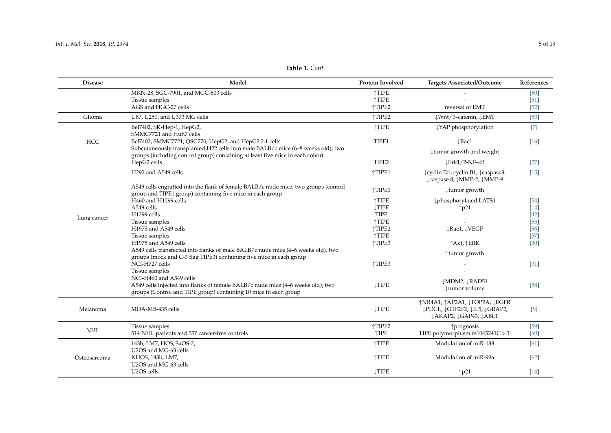**Table 1.** *Cont.*

| <b>Disease</b> | Model                                                                                                                                                             | Protein Involved  | <b>Targets Associated/Outcome</b>                                                                                           | References |
|----------------|-------------------------------------------------------------------------------------------------------------------------------------------------------------------|-------------------|-----------------------------------------------------------------------------------------------------------------------------|------------|
|                | MKN-28, SGC-7901, and MGC-803 cells                                                                                                                               | $\uparrow$ TIPE   |                                                                                                                             | $[50]$     |
|                | Tissue samples                                                                                                                                                    | $\uparrow$ TIPE   |                                                                                                                             | $[51]$     |
|                | AGS and HGC-27 cells                                                                                                                                              | ↑TIPE2            | reversal of EMT                                                                                                             | $[52]$     |
| Glioma         | U87, U251, and U373 MG cells                                                                                                                                      | ↑TIPE2            | $\downarrow$ Wnt/ $\beta$ -catenin, $\downarrow$ EMT                                                                        | $[53]$     |
|                | Bel7402, SK-Hep-1, HepG2,<br>SMMC7721 and Huh7 cells                                                                                                              | ↑TIPE             | $\downarrow$ YAP phosphorylation                                                                                            | $[7]$      |
| <b>HCC</b>     | Bel7402, SMMC7721, QSG770, HepG2, and HepG2.2.1 cells                                                                                                             | TIPE1             | $\downarrow$ Rac1                                                                                                           | [16]       |
|                | Subcutaneously transplanted H22 cells into male BALB/c mice (6-8 weeks old); two<br>groups (including control group) containing at least five mice in each cohort |                   | ↓ tumor growth and weight                                                                                                   |            |
|                | HepG2 cells                                                                                                                                                       | TIPE2             | $\lfloor$ Erk1/2-NF- $\kappa$ B                                                                                             | $[27]$     |
|                | H292 and A549 cells                                                                                                                                               | ↑TIPE1            | ↓ cyclin D1, cyclin B1, ↓ caspase3,<br>↓caspase 8, ↓MMP-2, ↓MMP-9                                                           | $[15]$     |
|                | A549 cells engrafted into the flank of female BALB/c nude mice; two groups (control<br>group and TIPE1 group) containing five mice in each group                  | ↑TIPE1            | $\downarrow$ tumor growth                                                                                                   |            |
|                | H460 and H1299 cells                                                                                                                                              | <b>↑TIPE</b>      | ↓phosphorylated LATS1                                                                                                       | [54]       |
|                | A549 cells                                                                                                                                                        | $\downarrow$ TIPE | $\uparrow p21$                                                                                                              | $[14]$     |
|                | H1299 cells                                                                                                                                                       | <b>TIPE</b>       |                                                                                                                             | $[42]$     |
| Lung cancer    | Tissue samples                                                                                                                                                    | $\uparrow$ TIPE   |                                                                                                                             | [55]       |
|                | H1975 and A549 cells                                                                                                                                              | ↑TIPE2            | $\downarrow$ Rac1, $\downarrow$ VEGF                                                                                        | [56]       |
|                | Tissue samples                                                                                                                                                    | ↑TIPE             |                                                                                                                             | $[57]$     |
|                | H1975 and A549 cells                                                                                                                                              | ↑TIPE3            | ↑Akt, ↑ERK                                                                                                                  | $[30]$     |
|                | A549 cells transfected into flanks of male BALB/c nude mice (4–6 weeks old), two                                                                                  |                   | ↑ tumor growth                                                                                                              |            |
|                | groups (mock and C-3 flag TIPE3) containing five mice in each group                                                                                               |                   |                                                                                                                             |            |
|                | NCI-H727 cells                                                                                                                                                    | ↑TIPE3            |                                                                                                                             | $[31]$     |
|                | Tissue samples                                                                                                                                                    |                   |                                                                                                                             |            |
|                | NCI-H460 and A549 cells                                                                                                                                           |                   | $\downarrow$ MDM2, $\downarrow$ RAD51                                                                                       |            |
|                | A549 cells injected into flanks of female BALB/c nude mice (4–6 weeks old); two<br>groups (Control and TIPE group) containing 10 mice in each group               | $\downarrow$ TIPE | <b>Ltumor</b> volume                                                                                                        | $[58]$     |
| Melanoma       | MDA-MB-435 cells                                                                                                                                                  | $\downarrow$ TIPE | ↑NR4A1, ↑AP2A1, ↓TOP2A, ↓EGFR<br>↓PDCL, ↓GTF2F2, ↓IL5, ↓GRAP2,<br>$\downarrow$ AKAP2, $\downarrow$ GAP43, $\downarrow$ ABL1 | $[9]$      |
|                | Tissue samples                                                                                                                                                    | ↑TIPE2            | $\uparrow$ prognosis                                                                                                        | $[59]$     |
| <b>NHL</b>     | 514 NHL patients and 557 cancer-free controls                                                                                                                     | <b>TIPE</b>       | TIPE polymorphism rs1045241C > T                                                                                            | [60]       |
|                | 143b, LM7, HOS, SaOS-2,<br>U2OS and MG-63 cells                                                                                                                   | $\uparrow$ TIPE   | Modulation of miR-138                                                                                                       | [61]       |
| Osteosarcoma   | KHOS, 143b, LM7,                                                                                                                                                  | $\uparrow$ TIPE   | Modulation of miR-99a                                                                                                       | [62]       |
|                | U2OS and MG-63 cells<br>U2OS cells                                                                                                                                | $\downarrow$ TIPE | $\uparrow p21$                                                                                                              | $[14]$     |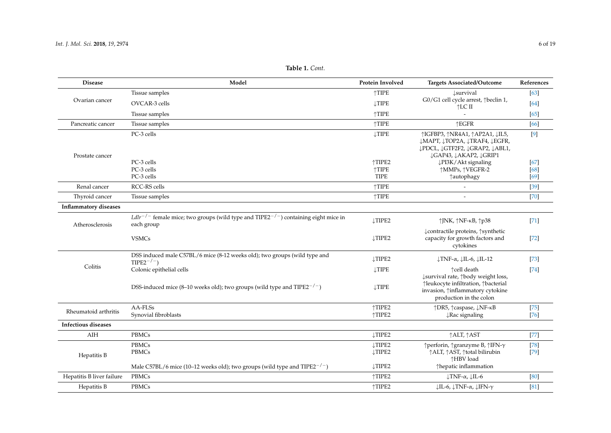| <b>Disease</b>               | Model                                                                                                              | Protein Involved                         | <b>Targets Associated/Outcome</b>                                                                                                               | References       |
|------------------------------|--------------------------------------------------------------------------------------------------------------------|------------------------------------------|-------------------------------------------------------------------------------------------------------------------------------------------------|------------------|
|                              | Tissue samples                                                                                                     | $\uparrow$ TIPE                          | <i><u>Lsurvival</u></i>                                                                                                                         | [63]             |
| Ovarian cancer               | OVCAR-3 cells                                                                                                      | $\downarrow$ TIPE                        | G0/G1 cell cycle arrest, $\uparrow$ beclin 1,<br>$\uparrow$ LC II                                                                               | [64]             |
|                              | Tissue samples                                                                                                     | $\uparrow$ TIPE                          |                                                                                                                                                 | [65]             |
| Pancreatic cancer            | Tissue samples                                                                                                     | ↑TIPE                                    | ↑EGFR                                                                                                                                           | [66]             |
| Prostate cancer              | PC-3 cells                                                                                                         | $\downarrow$ TIPE                        | ↑IGFBP3, ↑NR4A1, ↑AP2A1, ↓IL5,<br>↓MAPT, ↓TOP2A, ↓TRAF4, ↓EGFR,<br>↓PDCL, ↓GTF2F2, ↓GRAP2, ↓ABL1,<br>↓GAP43, ↓AKAP2, ↓GRIP1                     | $[9]$            |
|                              | PC-3 cells                                                                                                         | ↑TIPE2                                   | $\downarrow$ PI3K/Akt signaling                                                                                                                 | [67]             |
|                              | PC-3 cells                                                                                                         | ↑TIPE                                    | ↑MMPs, ↑VEGFR-2                                                                                                                                 | [68]             |
|                              | PC-3 cells                                                                                                         | <b>TIPE</b>                              | ↑autophagy                                                                                                                                      | [69]             |
| Renal cancer                 | RCC-RS cells                                                                                                       | $\uparrow$ TIPE                          |                                                                                                                                                 | $[39]$           |
| Thyroid cancer               | Tissue samples                                                                                                     | $\uparrow$ TIPE                          |                                                                                                                                                 | $[70]$           |
| <b>Inflammatory diseases</b> |                                                                                                                    |                                          |                                                                                                                                                 |                  |
| Atherosclerosis              | $L dlr^{-/-}$ female mice; two groups (wild type and TIPE2 <sup>-/-</sup> ) containing eight mice in<br>each group | $\downarrow$ TIPE2                       | $\uparrow$ JNK, $\uparrow$ NF- $\kappa$ B, $\uparrow$ p38                                                                                       | $[71]$           |
|                              | <b>VSMCs</b>                                                                                                       | $\downarrow$ TIPE2                       | ↓ contractile proteins, ↑ synthetic<br>capacity for growth factors and<br>cytokines                                                             | $[72]$           |
|                              | DSS induced male C57BL/6 mice (8-12 weeks old); two groups (wild type and<br>$TIPE2^{-/-}$                         | <b>JTIPE2</b>                            | $\downarrow$ TNF- $\alpha$ , $\downarrow$ IL-6, $\downarrow$ IL-12                                                                              | $[73]$           |
| Colitis                      | Colonic epithelial cells                                                                                           | $\downarrow$ TIPE                        | ↑cell death                                                                                                                                     | $[74]$           |
|                              | DSS-induced mice (8–10 weeks old); two groups (wild type and $TIPE2^{-/-}$ )                                       | $\downarrow$ TIPE                        | ↓survival rate, ↑body weight loss,<br>↑leukocyte infiltration, ↑bacterial<br>invasion, <i>finflammatory</i> cytokine<br>production in the colon |                  |
| Rheumatoid arthritis         | AA-FLSs<br>Synovial fibroblasts                                                                                    | ↑TIPE2<br>↑TIPE2                         | ↑DR5, ↑caspase, ↓NF-KB<br>$\downarrow$ Rac signaling                                                                                            | $[75]$<br>$[76]$ |
| <b>Infectious diseases</b>   |                                                                                                                    |                                          |                                                                                                                                                 |                  |
| AIH                          | <b>PBMCs</b>                                                                                                       | $\downarrow$ TIPE2                       | ↑ALT, ↑AST                                                                                                                                      | $[77]$           |
| Hepatitis B                  | <b>PBMCs</b><br><b>PBMCs</b>                                                                                       | $\downarrow$ TIPE2<br>$\downarrow$ TIPE2 | $\uparrow$ perforin, $\uparrow$ granzyme B, $\uparrow$ IFN- $\gamma$<br>↑ALT, ↑AST, ↑total bilirubin<br>↑HBV load                               | $[78]$<br>$[79]$ |
|                              | Male C57BL/6 mice (10–12 weeks old); two groups (wild type and $TIPE2^{-/-}$ )                                     | <b>↓TIPE2</b>                            | ↑hepatic inflammation                                                                                                                           |                  |
| Hepatitis B liver failure    | PBMCs                                                                                                              | ↑TIPE2                                   | $\downarrow$ TNF- $\alpha$ , $\downarrow$ IL-6                                                                                                  | [80]             |
| Hepatitis B                  | <b>PBMCs</b>                                                                                                       | ↑TIPE2                                   | $\downarrow$ IL-6, $\downarrow$ TNF- $\alpha$ , $\downarrow$ IFN- $\gamma$                                                                      | [81]             |

**Table 1.** *Cont.*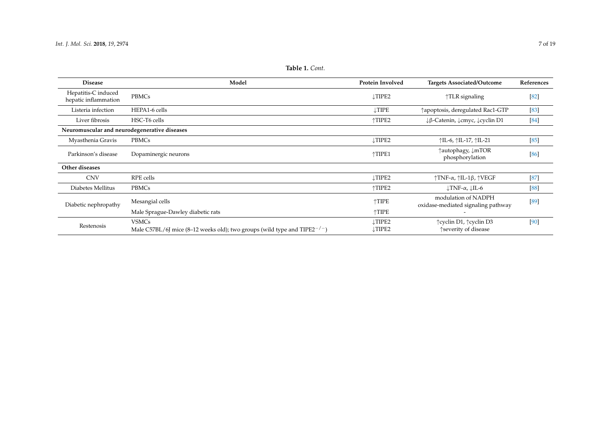| Table 1. Cont. |  |
|----------------|--|
|----------------|--|

<span id="page-6-0"></span>

| <b>Disease</b>                               | Model                                                                                          | <b>Protein Involved</b> | <b>Targets Associated/Outcome</b>                                      | References |
|----------------------------------------------|------------------------------------------------------------------------------------------------|-------------------------|------------------------------------------------------------------------|------------|
| Hepatitis-C induced<br>hepatic inflammation  | PBMCs                                                                                          | <b>JTIPE2</b>           | $\uparrow$ TLR signaling                                               | [82]       |
| Listeria infection                           | HEPA1-6 cells                                                                                  | $\downarrow$ TIPE       | ↑apoptosis, deregulated Rac1-GTP                                       | $[83]$     |
| Liver fibrosis                               | HSC-T6 cells                                                                                   | ↑TIPE2                  | $\downarrow \beta$ -Catenin, $\downarrow$ cmyc, $\downarrow$ cyclin D1 | $[84]$     |
| Neuromuscular and neurodegenerative diseases |                                                                                                |                         |                                                                        |            |
| Myasthenia Gravis                            | PBMCs                                                                                          | <b>JTIPE2</b>           | $\uparrow$ IL-6, $\uparrow$ IL-17, $\uparrow$ IL-21                    | $[85]$     |
| Parkinson's disease                          | Dopaminergic neurons                                                                           | ↑TIPE1                  | †autophagy, ↓mTOR<br>phosphorylation                                   | [86]       |
| Other diseases                               |                                                                                                |                         |                                                                        |            |
| <b>CNV</b>                                   | RPE cells                                                                                      | ↓TIPE2                  | $\uparrow$ TNF- $\alpha$ , $\uparrow$ IL-1 $\beta$ , $\uparrow$ VEGF   | $[87]$     |
| Diabetes Mellitus                            | PBMCs                                                                                          | ↑TIPE2                  | $\downarrow$ TNF- $\alpha$ , $\downarrow$ IL-6                         | [88]       |
| Diabetic nephropathy                         | Mesangial cells                                                                                | $\uparrow$ TIPE         | modulation of NADPH<br>oxidase-mediated signaling pathway              | [89]       |
|                                              | Male Sprague-Dawley diabetic rats                                                              | ↑TIPE                   |                                                                        |            |
| Restenosis                                   | <b>VSMCs</b><br>Male C57BL/6J mice (8-12 weeks old); two groups (wild type and $TIPE2^{-/-}$ ) | ↓TIPE2<br><b>JTIPE2</b> | †cyclin D1, †cyclin D3<br>↑severity of disease                         | [90]       |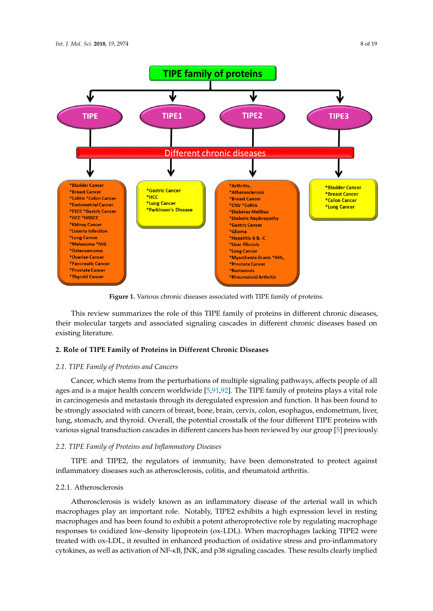<span id="page-7-0"></span>

**Figure 1.** Various chronic diseases associated with TIPE family of proteins. **Figure 1.** Various chronic diseases associated with TIPE family of proteins.

This review summarizes the role of this TIPE family of proteins in different chronic diseases, *TIPE Family of Proteins and Cancers* existing literature. their molecular targets and associated signaling cascades in different chronic diseases based on

## 2. Role of TIPE Family of Proteins in Different Chronic Diseases

## role in carcinogenesis and metastasis through its deregulated expression and function. It has been *2.1. TIPE Family of Proteins and Cancers*

Cancer, which stems from the perturbations of multiple signaling pathways, affects people of all ages and is a major health concern worldwide  $[5,91,92]$  $[5,91,92]$  $[5,91,92]$ . The TIPE family of proteins plays a vital role in carcinogenesis and metastasis through its deregulated expression and function. It has been found to be strongly associated with cancers of breast, bone, brain, cervix, colon, esophagus, endometrium, liver, **3. TIPE Family of Proteins and Inflammatory Diseases** various signal transduction cascades in different cancers has been reviewed by our group [\[5\]](#page-14-0) previously. lung, stomach, and thyroid. Overall, the potential crosstalk of the four different TIPE proteins with

## inflammatory diseases such as atherosclerosis, colitis, and rheumatoid arthritis. *2.2. TIPE Family of Proteins and Inflammatory Diseases*

*3.1. Atherosclerosis* inflammatory diseases such as atherosclerosis, colitis, and rheumatoid arthritis. TIPE and TIPE2, the regulators of immunity, have been demonstrated to protect against

#### Ather scales is widely known as an inflammatory disease of the arterial wall in which wall in which wall in which wall in which wall in which wall in which wall in which wall in which wall in which wall in which wall in w  $m_{2,2,1}$ , Auteroscienosis 2.2.1. Atherosclerosis

Atherosclerosis is widely known as an inflammatory disease of the arterial wall in which macrophages play an important role. Notably, TIPE2 exhibits a high expression level in resting macrophages and has been found to exhibit a potent atheroprotective role by regulating macrophage responses to oxidized low-density lipoprotein (ox-LDL). When macrophages lacking TIPE2 were treated with ox-LDL, it resulted in enhanced production of oxidative stress and pro-inflammatory cytokines, as well as activation of NF-κB, JNK, and p38 signaling cascades. These results clearly implied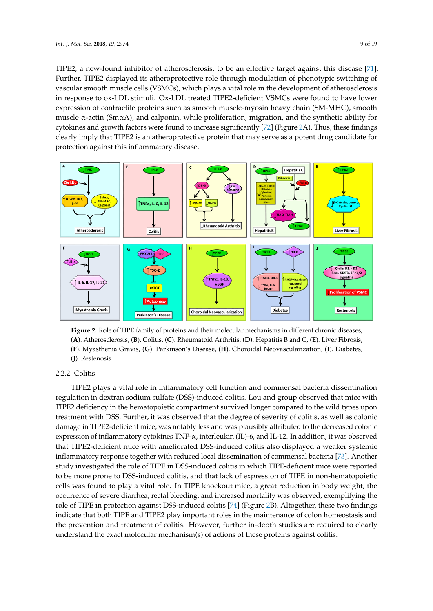TIPE2, a new-found inhibitor of atherosclerosis, to be an effective target against this disease [\[71\]](#page-17-19). Further, TIPE2 displayed its atheroprotective role through modulation of phenotypic switching of vascular smooth muscle cells (VSMCs), which plays a vital role in the development of atherosclerosis in response to ox-LDL stimuli. Ox-LDL treated TIPE2-deficient VSMCs were found to have lower expression of contractile proteins such as smooth muscle-myosin heavy chain (SM-MHC), smooth muscle  $\alpha$ -actin (Sm $\alpha$ A), and calponin, while proliferation, migration, and the synthetic ability for cytokines and growth factors were found to increase significantly [\[72\]](#page-17-20) (F[ig](#page-8-0)ure 2A). Thus, these findings clearly imply that TIPE2 is an atheroprotective protein that may serve as a potent drug candidate for protection against this inflammatory disease.

<span id="page-8-0"></span>

**Figure 2.** Role of TIPE family of proteins and their molecular mechanisms in different chronic **Figure 2.** Role of TIPE family of proteins and their molecular mechanisms in different chronic diseases; (A). Atherosclerosis, (B). Colitis, (C). Rheumatoid Arthritis, (D). Hepatitis B and C, (E). Liver Fibrosis, (F). Myasthenia Gravis, (G). Parkinson's Disease, (H). Choroidal Neovascularization, (I). Diabetes, (**I**). Diabetes, (**J**). Restenosis (**J**). Restenosis

## *3.2. Colitis* 2.2.2. Colitis

TIPE2 plays a vital role in inflammatory cell function and commensal bacteria dissemination TIPE2 plays a vital role in inflammatory cell function and commensal bacteria dissemination regulation in dextran sodium sulfate (DSS)-induced colitis. Lou and group observed that mice with regulation in dextran sodium sulfate (DSS)-induced colitis. Lou and group observed that mice with TIPE2 deficiency in the hematopoietic compartment survived longer compared to the wild types TIPE2 deficiency in the hematopoietic compartment survived longer compared to the wild types upon treatment with DSS. Further, it was observed that the degree of severity of colitis, as well as colonic damage in TIPE2-deficient mice, was notably less and was plausibly attributed to the decreased colonic expression of inflammatory cytokines TNF-α, interleukin (IL)-6, and IL-12. In addition, it was observed that TIPE2-deficient mice with ameliorated DSS-induced colitis also displayed a weaker systemic inflammatory response together with reduced local dissemination of commensal bacteria [\[73\]](#page-17-21). Another study investigated the role of TIPE in DSS-induced colitis in which TIPE-deficient mice were reported to be more prone to DSS-induced colitis, and that lack of expression of TIPE in non-hematopoietic cells was found to play a vital role. In TIPE knockout mice, a great reduction in body weight, the occurrence of severe diarrhea, rectal bleeding, and increased mortality was observed, exemplifying the role of TIP[E in](#page-17-22) protecti[on](#page-8-0) against DSS-induced colitis [74] (Figure 2B). Altogether, these two findings indicate that both TIPE and TIPE2 play important roles in the maintenance of colon homeostasis and the prevention and treatment of colitis. However, further in-depth studies are required to clearly understand the exact molecular mechanism(s) of actions of these proteins against colitis.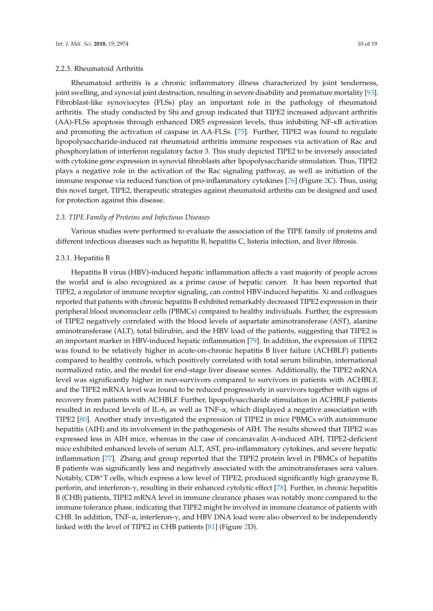## 2.2.3. Rheumatoid Arthritis

Rheumatoid arthritis is a chronic inflammatory illness characterized by joint tenderness, joint swelling, and synovial joint destruction, resulting in severe disability and premature mortality [\[93\]](#page-18-14). Fibroblast-like synoviocytes (FLSs) play an important role in the pathology of rheumatoid arthritis. The study conducted by Shi and group indicated that TIPE2 increased adjuvant arthritis (AA)-FLSs apoptosis through enhanced DR5 expression levels, thus inhibiting NF-κB activation and promoting the activation of caspase in AA-FLSs. [\[75\]](#page-17-23). Further, TIPE2 was found to regulate lipopolysaccharide-induced rat rheumatoid arthritis immune responses via activation of Rac and phosphorylation of interferon regulatory factor 3. This study depicted TIPE2 to be inversely associated with cytokine gene expression in synovial fibroblasts after lipopolysaccharide stimulation. Thus, TIPE2 plays a negative role in the activation of the Rac signaling pathway, as well as initiation of the immune response via reduced function of pro-inflammatory cytokines [\[76\]](#page-17-24) (Figure [2C](#page-8-0)). Thus, using this novel target, TIPE2, therapeutic strategies against rheumatoid arthritis can be designed and used for protection against this disease.

## *2.3. TIPE Family of Proteins and Infectious Diseases*

Various studies were performed to evaluate the association of the TIPE family of proteins and different infectious diseases such as hepatitis B, hepatitis C, listeria infection, and liver fibrosis.

### 2.3.1. Hepatitis B

Hepatitis B virus (HBV)-induced hepatic inflammation affects a vast majority of people across the world and is also recognized as a prime cause of hepatic cancer. It has been reported that TIPE2, a regulator of immune receptor signaling, can control HBV-induced hepatitis. Xi and colleagues reported that patients with chronic hepatitis B exhibited remarkably decreased TIPE2 expression in their peripheral blood mononuclear cells (PBMCs) compared to healthy individuals. Further, the expression of TIPE2 negatively correlated with the blood levels of aspartate aminotransferase (AST), alanine aminotransferase (ALT), total bilirubin, and the HBV load of the patients, suggesting that TIPE2 is an important marker in HBV-induced hepatic inflammation [\[79\]](#page-18-15). In addition, the expression of TIPE2 was found to be relatively higher in acute-on-chronic hepatitis B liver failure (ACHBLF) patients compared to healthy controls, which positively correlated with total serum bilirubin, international normalized ratio, and the model for end-stage liver disease scores. Additionally, the TIPE2 mRNA level was significantly higher in non-survivors compared to survivors in patients with ACHBLF, and the TIPE2 mRNA level was found to be reduced progressively in survivors together with signs of recovery from patients with ACHBLF. Further, lipopolysaccharide stimulation in ACHBLF patients resulted in reduced levels of IL-6, as well as  $TNF-\alpha$ , which displayed a negative association with TIPE2 [\[80\]](#page-18-16). Another study investigated the expression of TIPE2 in mice PBMCs with autoimmune hepatitis (AIH) and its involvement in the pathogenesis of AIH. The results showed that TIPE2 was expressed less in AIH mice, whereas in the case of concanavalin A-induced AIH, TIPE2-deficient mice exhibited enhanced levels of serum ALT, AST, pro-inflammatory cytokines, and severe hepatic inflammation [\[77\]](#page-17-25). Zhang and group reported that the TIPE2 protein level in PBMCs of hepatitis B patients was significantly less and negatively associated with the aminotransferases sera values. Notably, CD8+T cells, which express a low level of TIPE2, produced significantly high granzyme B, perforin, and interferon-γ, resulting in their enhanced cytolytic effect [\[78\]](#page-17-26). Further, in chronic hepatitis B (CHB) patients, TIPE2 mRNA level in immune clearance phases was notably more compared to the immune tolerance phase, indicating that TIPE2 might be involved in immune clearance of patients with CHB. In addition,  $TNF-\alpha$ , interferon- $\gamma$ , and HBV DNA load were also observed to be independently linked with the level of TIPE2 in CHB patients [\[81\]](#page-18-9) (Figure [2D](#page-8-0)).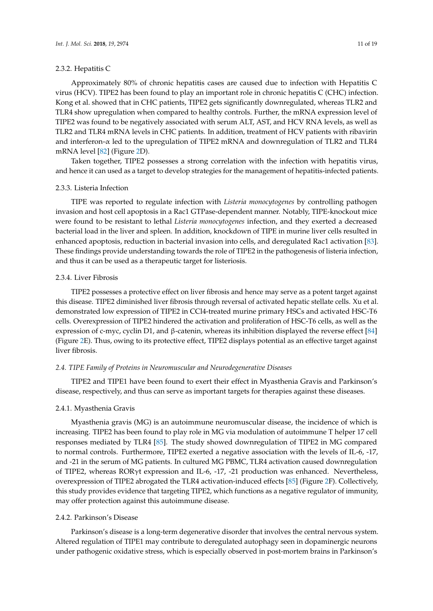### 2.3.2. Hepatitis C

Approximately 80% of chronic hepatitis cases are caused due to infection with Hepatitis C virus (HCV). TIPE2 has been found to play an important role in chronic hepatitis C (CHC) infection. Kong et al. showed that in CHC patients, TIPE2 gets significantly downregulated, whereas TLR2 and TLR4 show upregulation when compared to healthy controls. Further, the mRNA expression level of TIPE2 was found to be negatively associated with serum ALT, AST, and HCV RNA levels, as well as TLR2 and TLR4 mRNA levels in CHC patients. In addition, treatment of HCV patients with ribavirin and interferon- $\alpha$  led to the upregulation of TIPE2 mRNA and downregulation of TLR2 and TLR4 mRNA level [\[82\]](#page-18-17) (Figure [2D](#page-8-0)).

Taken together, TIPE2 possesses a strong correlation with the infection with hepatitis virus, and hence it can used as a target to develop strategies for the management of hepatitis-infected patients.

## 2.3.3. Listeria Infection

TIPE was reported to regulate infection with *Listeria monocytogenes* by controlling pathogen invasion and host cell apoptosis in a Rac1 GTPase-dependent manner. Notably, TIPE-knockout mice were found to be resistant to lethal *Listeria monocytogenes* infection, and they exerted a decreased bacterial load in the liver and spleen. In addition, knockdown of TIPE in murine liver cells resulted in enhanced apoptosis, reduction in bacterial invasion into cells, and deregulated Rac1 activation [\[83\]](#page-18-18). These findings provide understanding towards the role of TIPE2 in the pathogenesis of listeria infection, and thus it can be used as a therapeutic target for listeriosis.

#### 2.3.4. Liver Fibrosis

TIPE2 possesses a protective effect on liver fibrosis and hence may serve as a potent target against this disease. TIPE2 diminished liver fibrosis through reversal of activated hepatic stellate cells. Xu et al. demonstrated low expression of TIPE2 in CCl4-treated murine primary HSCs and activated HSC-T6 cells. Overexpression of TIPE2 hindered the activation and proliferation of HSC-T6 cells, as well as the expression of c-myc, cyclin D1, and β-catenin, whereas its inhibition displayed the reverse effect [\[84\]](#page-18-19) (Figure [2E](#page-8-0)). Thus, owing to its protective effect, TIPE2 displays potential as an effective target against liver fibrosis.

## *2.4. TIPE Family of Proteins in Neuromuscular and Neurodegenerative Diseases*

TIPE2 and TIPE1 have been found to exert their effect in Myasthenia Gravis and Parkinson's disease, respectively, and thus can serve as important targets for therapies against these diseases.

#### 2.4.1. Myasthenia Gravis

Myasthenia gravis (MG) is an autoimmune neuromuscular disease, the incidence of which is increasing. TIPE2 has been found to play role in MG via modulation of autoimmune T helper 17 cell responses mediated by TLR4 [\[85\]](#page-18-20). The study showed downregulation of TIPE2 in MG compared to normal controls. Furthermore, TIPE2 exerted a negative association with the levels of IL-6, -17, and -21 in the serum of MG patients. In cultured MG PBMC, TLR4 activation caused downregulation of TIPE2, whereas RORγt expression and IL-6, -17, -21 production was enhanced. Nevertheless, overexpression of TIPE2 abrogated the TLR4 activation-induced effects [\[85\]](#page-18-20) (Figure [2F](#page-8-0)). Collectively, this study provides evidence that targeting TIPE2, which functions as a negative regulator of immunity, may offer protection against this autoimmune disease.

#### 2.4.2. Parkinson's Disease

Parkinson's disease is a long-term degenerative disorder that involves the central nervous system. Altered regulation of TIPE1 may contribute to deregulated autophagy seen in dopaminergic neurons under pathogenic oxidative stress, which is especially observed in post-mortem brains in Parkinson's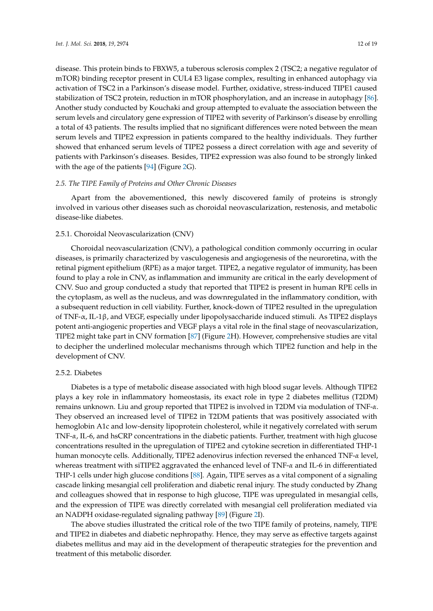disease. This protein binds to FBXW5, a tuberous sclerosis complex 2 (TSC2; a negative regulator of mTOR) binding receptor present in CUL4 E3 ligase complex, resulting in enhanced autophagy via activation of TSC2 in a Parkinson's disease model. Further, oxidative, stress-induced TIPE1 caused stabilization of TSC2 protein, reduction in mTOR phosphorylation, and an increase in autophagy [\[86\]](#page-18-21). Another study conducted by Kouchaki and group attempted to evaluate the association between the serum levels and circulatory gene expression of TIPE2 with severity of Parkinson's disease by enrolling a total of 43 patients. The results implied that no significant differences were noted between the mean serum levels and TIPE2 expression in patients compared to the healthy individuals. They further showed that enhanced serum levels of TIPE2 possess a direct correlation with age and severity of patients with Parkinson's diseases. Besides, TIPE2 expression was also found to be strongly linked with the age of the patients [\[94\]](#page-18-22) (Figure [2G](#page-8-0)).

### *2.5. The TIPE Family of Proteins and Other Chronic Diseases*

Apart from the abovementioned, this newly discovered family of proteins is strongly involved in various other diseases such as choroidal neovascularization, restenosis, and metabolic disease-like diabetes.

## 2.5.1. Choroidal Neovascularization (CNV)

Choroidal neovascularization (CNV), a pathological condition commonly occurring in ocular diseases, is primarily characterized by vasculogenesis and angiogenesis of the neuroretina, with the retinal pigment epithelium (RPE) as a major target. TIPE2, a negative regulator of immunity, has been found to play a role in CNV, as inflammation and immunity are critical in the early development of CNV. Suo and group conducted a study that reported that TIPE2 is present in human RPE cells in the cytoplasm, as well as the nucleus, and was downregulated in the inflammatory condition, with a subsequent reduction in cell viability. Further, knock-down of TIPE2 resulted in the upregulation of TNF-α, IL-1β, and VEGF, especially under lipopolysaccharide induced stimuli. As TIPE2 displays potent anti-angiogenic properties and VEGF plays a vital role in the final stage of neovascularization, TIPE2 might take part in CNV formation [\[87\]](#page-18-23) (Figure [2H](#page-8-0)). However, comprehensive studies are vital to decipher the underlined molecular mechanisms through which TIPE2 function and help in the development of CNV.

## 2.5.2. Diabetes

Diabetes is a type of metabolic disease associated with high blood sugar levels. Although TIPE2 plays a key role in inflammatory homeostasis, its exact role in type 2 diabetes mellitus (T2DM) remains unknown. Liu and group reported that TIPE2 is involved in T2DM via modulation of TNF-*α*. They observed an increased level of TIPE2 in T2DM patients that was positively associated with hemoglobin A1c and low-density lipoprotein cholesterol, while it negatively correlated with serum TNF-*α*, IL-6, and hsCRP concentrations in the diabetic patients. Further, treatment with high glucose concentrations resulted in the upregulation of TIPE2 and cytokine secretion in differentiated THP-1 human monocyte cells. Additionally, TIPE2 adenovirus infection reversed the enhanced TNF-*α* level, whereas treatment with siTIPE2 aggravated the enhanced level of TNF-*α* and IL-6 in differentiated THP-1 cells under high glucose conditions [\[88\]](#page-18-24). Again, TIPE serves as a vital component of a signaling cascade linking mesangial cell proliferation and diabetic renal injury. The study conducted by Zhang and colleagues showed that in response to high glucose, TIPE was upregulated in mesangial cells, and the expression of TIPE was directly correlated with mesangial cell proliferation mediated via an NADPH oxidase-regulated signaling pathway [\[89\]](#page-18-25) (Figure [2I](#page-8-0)).

The above studies illustrated the critical role of the two TIPE family of proteins, namely, TIPE and TIPE2 in diabetes and diabetic nephropathy. Hence, they may serve as effective targets against diabetes mellitus and may aid in the development of therapeutic strategies for the prevention and treatment of this metabolic disorder.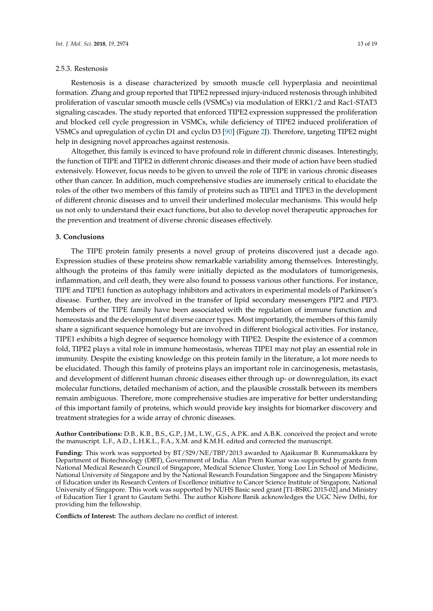Restenosis is a disease characterized by smooth muscle cell hyperplasia and neointimal formation. Zhang and group reported that TIPE2 repressed injury-induced restenosis through inhibited proliferation of vascular smooth muscle cells (VSMCs) via modulation of ERK1/2 and Rac1-STAT3 signaling cascades. The study reported that enforced TIPE2 expression suppressed the proliferation and blocked cell cycle progression in VSMCs, while deficiency of TIPE2 induced proliferation of VSMCs and upregulation of cyclin D1 and cyclin D3 [\[90\]](#page-18-26) (Figure [2J](#page-8-0)). Therefore, targeting TIPE2 might help in designing novel approaches against restenosis.

Altogether, this family is evinced to have profound role in different chronic diseases. Interestingly, the function of TIPE and TIPE2 in different chronic diseases and their mode of action have been studied extensively. However, focus needs to be given to unveil the role of TIPE in various chronic diseases other than cancer. In addition, much comprehensive studies are immensely critical to elucidate the roles of the other two members of this family of proteins such as TIPE1 and TIPE3 in the development of different chronic diseases and to unveil their underlined molecular mechanisms. This would help us not only to understand their exact functions, but also to develop novel therapeutic approaches for the prevention and treatment of diverse chronic diseases effectively.

## **3. Conclusions**

The TIPE protein family presents a novel group of proteins discovered just a decade ago. Expression studies of these proteins show remarkable variability among themselves. Interestingly, although the proteins of this family were initially depicted as the modulators of tumorigenesis, inflammation, and cell death, they were also found to possess various other functions. For instance, TIPE and TIPE1 function as autophagy inhibitors and activators in experimental models of Parkinson's disease. Further, they are involved in the transfer of lipid secondary messengers PIP2 and PIP3. Members of the TIPE family have been associated with the regulation of immune function and homeostasis and the development of diverse cancer types. Most importantly, the members of this family share a significant sequence homology but are involved in different biological activities. For instance, TIPE1 exhibits a high degree of sequence homology with TIPE2. Despite the existence of a common fold, TIPE2 plays a vital role in immune homeostasis, whereas TIPE1 may not play an essential role in immunity. Despite the existing knowledge on this protein family in the literature, a lot more needs to be elucidated. Though this family of proteins plays an important role in carcinogenesis, metastasis, and development of different human chronic diseases either through up- or downregulation, its exact molecular functions, detailed mechanism of action, and the plausible crosstalk between its members remain ambiguous. Therefore, more comprehensive studies are imperative for better understanding of this important family of proteins, which would provide key insights for biomarker discovery and treatment strategies for a wide array of chronic diseases.

**Author Contributions:** D.B., K.B., B.S., G.P., J.M., L.W., G.S., A.P.K. and A.B.K. conceived the project and wrote the manuscript. L.F., A.D., L.H.K.L., F.A., X.M. and K.M.H. edited and corrected the manuscript.

**Funding:** This work was supported by BT/529/NE/TBP/2013 awarded to Ajaikumar B. Kunnumakkara by Department of Biotechnology (DBT), Government of India. Alan Prem Kumar was supported by grants from National Medical Research Council of Singapore, Medical Science Cluster, Yong Loo Lin School of Medicine, National University of Singapore and by the National Research Foundation Singapore and the Singapore Ministry of Education under its Research Centers of Excellence initiative to Cancer Science Institute of Singapore, National University of Singapore. This work was supported by NUHS Basic seed grant [T1-BSRG 2015-02] and Ministry of Education Tier 1 grant to Gautam Sethi. The author Kishore Banik acknowledges the UGC New Delhi, for providing him the fellowship.

**Conflicts of Interest:** The authors declare no conflict of interest.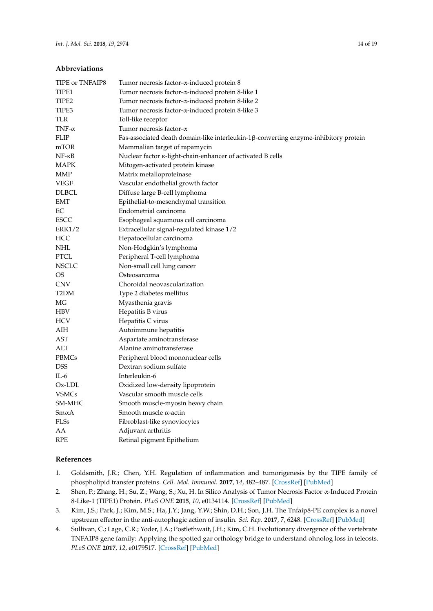## **Abbreviations**

| TIPE or TNFAIP8   | Tumor necrosis factor- $\alpha$ -induced protein 8                                   |
|-------------------|--------------------------------------------------------------------------------------|
| TIPE1             | Tumor necrosis factor- $\alpha$ -induced protein 8-like 1                            |
| TIPE2             | Tumor necrosis factor-α-induced protein 8-like 2                                     |
| TIPE3             | Tumor necrosis factor- $\alpha$ -induced protein 8-like 3                            |
| TLR               | Toll-like receptor                                                                   |
| TNF- $\alpha$     | Tumor necrosis factor- $\alpha$                                                      |
| FLIP              | Fas-associated death domain-like interleukin-1β-converting enzyme-inhibitory protein |
| mTOR              | Mammalian target of rapamycin                                                        |
| $NF$ - $\kappa B$ | Nuclear factor K-light-chain-enhancer of activated B cells                           |
| MAPK              | Mitogen-activated protein kinase                                                     |
| MMP               | Matrix metalloproteinase                                                             |
| VEGF              | Vascular endothelial growth factor                                                   |
| DLBCL             | Diffuse large B-cell lymphoma                                                        |
| EMT               | Epithelial-to-mesenchymal transition                                                 |
| EC                | Endometrial carcinoma                                                                |
| <b>ESCC</b>       | Esophageal squamous cell carcinoma                                                   |
| ERK1/2            | Extracellular signal-regulated kinase 1/2                                            |
| HCC               | Hepatocellular carcinoma                                                             |
| NHL               | Non-Hodgkin's lymphoma                                                               |
| PTCL              | Peripheral T-cell lymphoma                                                           |
| NSCLC             | Non-small cell lung cancer                                                           |
| <b>OS</b>         | Osteosarcoma                                                                         |
| CNV               | Choroidal neovascularization                                                         |
| T2DM              | Type 2 diabetes mellitus                                                             |
| МG                | Myasthenia gravis                                                                    |
| HBV               | Hepatitis B virus                                                                    |
| HCV               | Hepatitis C virus                                                                    |
| AIH               | Autoimmune hepatitis                                                                 |
| <b>AST</b>        | Aspartate aminotransferase                                                           |
| ALT               | Alanine aminotransferase                                                             |
| PBMCs             | Peripheral blood mononuclear cells                                                   |
| <b>DSS</b>        | Dextran sodium sulfate                                                               |
| IL-6              | Interleukin-6                                                                        |
| Ox-LDL            | Oxidized low-density lipoprotein                                                     |
| <b>VSMCs</b>      | Vascular smooth muscle cells                                                         |
| SM-MHC            | Smooth muscle-myosin heavy chain                                                     |
| SmαA              | Smooth muscle $\alpha$ -actin                                                        |
| <b>FLSs</b>       | Fibroblast-like synoviocytes                                                         |
| AA                | Adjuvant arthritis                                                                   |
| <b>RPE</b>        | Retinal pigment Epithelium                                                           |
|                   |                                                                                      |

## **References**

- <span id="page-13-0"></span>1. Goldsmith, J.R.; Chen, Y.H. Regulation of inflammation and tumorigenesis by the TIPE family of phospholipid transfer proteins. *Cell. Mol. Immunol.* **2017**, *14*, 482–487. [\[CrossRef\]](http://dx.doi.org/10.1038/cmi.2017.4) [\[PubMed\]](http://www.ncbi.nlm.nih.gov/pubmed/28287114)
- <span id="page-13-1"></span>2. Shen, P.; Zhang, H.; Su, Z.; Wang, S.; Xu, H. In Silico Analysis of Tumor Necrosis Factor α-Induced Protein 8-Like-1 (TIPE1) Protein. *PLoS ONE* **2015**, *10*, e0134114. [\[CrossRef\]](http://dx.doi.org/10.1371/journal.pone.0134114) [\[PubMed\]](http://www.ncbi.nlm.nih.gov/pubmed/26207809)
- <span id="page-13-2"></span>3. Kim, J.S.; Park, J.; Kim, M.S.; Ha, J.Y.; Jang, Y.W.; Shin, D.H.; Son, J.H. The Tnfaip8-PE complex is a novel upstream effector in the anti-autophagic action of insulin. *Sci. Rep.* **2017**, *7*, 6248. [\[CrossRef\]](http://dx.doi.org/10.1038/s41598-017-06576-3) [\[PubMed\]](http://www.ncbi.nlm.nih.gov/pubmed/28740220)
- <span id="page-13-3"></span>4. Sullivan, C.; Lage, C.R.; Yoder, J.A.; Postlethwait, J.H.; Kim, C.H. Evolutionary divergence of the vertebrate TNFAIP8 gene family: Applying the spotted gar orthology bridge to understand ohnolog loss in teleosts. *PLoS ONE* **2017**, *12*, e0179517. [\[CrossRef\]](http://dx.doi.org/10.1371/journal.pone.0179517) [\[PubMed\]](http://www.ncbi.nlm.nih.gov/pubmed/28658311)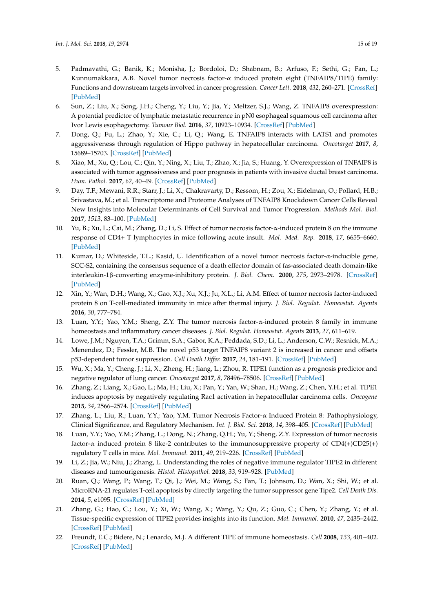- <span id="page-14-18"></span><span id="page-14-17"></span><span id="page-14-16"></span><span id="page-14-14"></span><span id="page-14-0"></span>5. Padmavathi, G.; Banik, K.; Monisha, J.; Bordoloi, D.; Shabnam, B.; Arfuso, F.; Sethi, G.; Fan, L.; Kunnumakkara, A.B. Novel tumor necrosis factor-α induced protein eight (TNFAIP8/TIPE) family: Functions and downstream targets involved in cancer progression. *Cancer Lett.* **2018**, *432*, 260–271. [\[CrossRef\]](http://dx.doi.org/10.1016/j.canlet.2018.06.017) [\[PubMed\]](http://www.ncbi.nlm.nih.gov/pubmed/29920292)
- 6. Sun, Z.; Liu, X.; Song, J.H.; Cheng, Y.; Liu, Y.; Jia, Y.; Meltzer, S.J.; Wang, Z. TNFAIP8 overexpression: A potential predictor of lymphatic metastatic recurrence in pN0 esophageal squamous cell carcinoma after Ivor Lewis esophagectomy. *Tumour Biol.* **2016**, *37*, 10923–10934. [\[CrossRef\]](http://dx.doi.org/10.1007/s13277-016-4978-1) [\[PubMed\]](http://www.ncbi.nlm.nih.gov/pubmed/26886285)
- 7. Dong, Q.; Fu, L.; Zhao, Y.; Xie, C.; Li, Q.; Wang, E. TNFAIP8 interacts with LATS1 and promotes aggressiveness through regulation of Hippo pathway in hepatocellular carcinoma. *Oncotarget* **2017**, *8*, 15689–15703. [\[CrossRef\]](http://dx.doi.org/10.18632/oncotarget.14938) [\[PubMed\]](http://www.ncbi.nlm.nih.gov/pubmed/28152516)
- <span id="page-14-15"></span>8. Xiao, M.; Xu, Q.; Lou, C.; Qin, Y.; Ning, X.; Liu, T.; Zhao, X.; Jia, S.; Huang, Y. Overexpression of TNFAIP8 is associated with tumor aggressiveness and poor prognosis in patients with invasive ductal breast carcinoma. *Hum. Pathol.* **2017**, *62*, 40–49. [\[CrossRef\]](http://dx.doi.org/10.1016/j.humpath.2016.12.020) [\[PubMed\]](http://www.ncbi.nlm.nih.gov/pubmed/28087477)
- <span id="page-14-20"></span><span id="page-14-19"></span>9. Day, T.F.; Mewani, R.R.; Starr, J.; Li, X.; Chakravarty, D.; Ressom, H.; Zou, X.; Eidelman, O.; Pollard, H.B.; Srivastava, M.; et al. Transcriptome and Proteome Analyses of TNFAIP8 Knockdown Cancer Cells Reveal New Insights into Molecular Determinants of Cell Survival and Tumor Progression. *Methods Mol. Biol.* **2017**, *1513*, 83–100. [\[PubMed\]](http://www.ncbi.nlm.nih.gov/pubmed/27807832)
- <span id="page-14-1"></span>10. Yu, B.; Xu, L.; Cai, M.; Zhang, D.; Li, S. Effect of tumor necrosis factor-α-induced protein 8 on the immune response of CD4+ T lymphocytes in mice following acute insult. *Mol. Med. Rep.* **2018**, *17*, 6655–6660. [\[PubMed\]](http://www.ncbi.nlm.nih.gov/pubmed/29488604)
- <span id="page-14-2"></span>11. Kumar, D.; Whiteside, T.L.; Kasid, U. Identification of a novel tumor necrosis factor-α-inducible gene, SCC-S2, containing the consensus sequence of a death effector domain of fas-associated death domain-like interleukin-1β-converting enzyme-inhibitory protein. *J. Biol. Chem.* **2000**, *275*, 2973–2978. [\[CrossRef\]](http://dx.doi.org/10.1074/jbc.275.4.2973) [\[PubMed\]](http://www.ncbi.nlm.nih.gov/pubmed/10644768)
- <span id="page-14-3"></span>12. Xin, Y.; Wan, D.H.; Wang, X.; Gao, X.J.; Xu, X.J.; Ju, X.L.; Li, A.M. Effect of tumor necrosis factor-induced protein 8 on T-cell-mediated immunity in mice after thermal injury. *J. Biol. Regulat. Homeostat. Agents* **2016**, *30*, 777–784.
- <span id="page-14-4"></span>13. Luan, Y.Y.; Yao, Y.M.; Sheng, Z.Y. The tumor necrosis factor-α-induced protein 8 family in immune homeostasis and inflammatory cancer diseases. *J. Biol. Regulat. Homeostat. Agents* **2013**, *27*, 611–619.
- <span id="page-14-5"></span>14. Lowe, J.M.; Nguyen, T.A.; Grimm, S.A.; Gabor, K.A.; Peddada, S.D.; Li, L.; Anderson, C.W.; Resnick, M.A.; Menendez, D.; Fessler, M.B. The novel p53 target TNFAIP8 variant 2 is increased in cancer and offsets p53-dependent tumor suppression. *Cell Death Differ.* **2017**, *24*, 181–191. [\[CrossRef\]](http://dx.doi.org/10.1038/cdd.2016.130) [\[PubMed\]](http://www.ncbi.nlm.nih.gov/pubmed/27834950)
- <span id="page-14-6"></span>15. Wu, X.; Ma, Y.; Cheng, J.; Li, X.; Zheng, H.; Jiang, L.; Zhou, R. TIPE1 function as a prognosis predictor and negative regulator of lung cancer. *Oncotarget* **2017**, *8*, 78496–78506. [\[CrossRef\]](http://dx.doi.org/10.18632/oncotarget.19655) [\[PubMed\]](http://www.ncbi.nlm.nih.gov/pubmed/29108244)
- <span id="page-14-8"></span>16. Zhang, Z.; Liang, X.; Gao, L.; Ma, H.; Liu, X.; Pan, Y.; Yan, W.; Shan, H.; Wang, Z.; Chen, Y.H.; et al. TIPE1 induces apoptosis by negatively regulating Rac1 activation in hepatocellular carcinoma cells. *Oncogene* **2015**, *34*, 2566–2574. [\[CrossRef\]](http://dx.doi.org/10.1038/onc.2014.208) [\[PubMed\]](http://www.ncbi.nlm.nih.gov/pubmed/25043299)
- <span id="page-14-7"></span>17. Zhang, L.; Liu, R.; Luan, Y.Y.; Yao, Y.M. Tumor Necrosis Factor-α Induced Protein 8: Pathophysiology, Clinical Significance, and Regulatory Mechanism. *Int. J. Biol. Sci.* **2018**, *14*, 398–405. [\[CrossRef\]](http://dx.doi.org/10.7150/ijbs.23268) [\[PubMed\]](http://www.ncbi.nlm.nih.gov/pubmed/29725261)
- <span id="page-14-9"></span>18. Luan, Y.Y.; Yao, Y.M.; Zhang, L.; Dong, N.; Zhang, Q.H.; Yu, Y.; Sheng, Z.Y. Expression of tumor necrosis factor- $\alpha$  induced protein 8 like-2 contributes to the immunosuppressive property of CD4(+)CD25(+) regulatory T cells in mice. *Mol. Immunol.* **2011**, *49*, 219–226. [\[CrossRef\]](http://dx.doi.org/10.1016/j.molimm.2011.08.016) [\[PubMed\]](http://www.ncbi.nlm.nih.gov/pubmed/21963221)
- <span id="page-14-11"></span>19. Li, Z.; Jia, W.; Niu, J.; Zhang, L. Understanding the roles of negative immune regulator TIPE2 in different diseases and tumourigenesis. *Histol. Histopathol.* **2018**, *33*, 919–928. [\[PubMed\]](http://www.ncbi.nlm.nih.gov/pubmed/29480508)
- <span id="page-14-10"></span>20. Ruan, Q.; Wang, P.; Wang, T.; Qi, J.; Wei, M.; Wang, S.; Fan, T.; Johnson, D.; Wan, X.; Shi, W.; et al. MicroRNA-21 regulates T-cell apoptosis by directly targeting the tumor suppressor gene Tipe2. *Cell Death Dis.* **2014**, *5*, e1095. [\[CrossRef\]](http://dx.doi.org/10.1038/cddis.2014.47) [\[PubMed\]](http://www.ncbi.nlm.nih.gov/pubmed/24577093)
- <span id="page-14-12"></span>21. Zhang, G.; Hao, C.; Lou, Y.; Xi, W.; Wang, X.; Wang, Y.; Qu, Z.; Guo, C.; Chen, Y.; Zhang, Y.; et al. Tissue-specific expression of TIPE2 provides insights into its function. *Mol. Immunol.* **2010**, *47*, 2435–2442. [\[CrossRef\]](http://dx.doi.org/10.1016/j.molimm.2010.06.016) [\[PubMed\]](http://www.ncbi.nlm.nih.gov/pubmed/20663561)
- <span id="page-14-13"></span>22. Freundt, E.C.; Bidere, N.; Lenardo, M.J. A different TIPE of immune homeostasis. *Cell* **2008**, *133*, 401–402. [\[CrossRef\]](http://dx.doi.org/10.1016/j.cell.2008.04.017) [\[PubMed\]](http://www.ncbi.nlm.nih.gov/pubmed/18455981)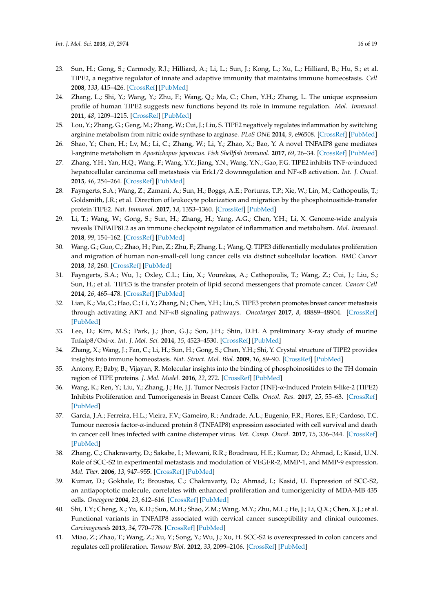- <span id="page-15-22"></span><span id="page-15-21"></span><span id="page-15-0"></span>23. Sun, H.; Gong, S.; Carmody, R.J.; Hilliard, A.; Li, L.; Sun, J.; Kong, L.; Xu, L.; Hilliard, B.; Hu, S.; et al. TIPE2, a negative regulator of innate and adaptive immunity that maintains immune homeostasis. *Cell* **2008**, *133*, 415–426. [\[CrossRef\]](http://dx.doi.org/10.1016/j.cell.2008.03.026) [\[PubMed\]](http://www.ncbi.nlm.nih.gov/pubmed/18455983)
- <span id="page-15-13"></span><span id="page-15-1"></span>24. Zhang, L.; Shi, Y.; Wang, Y.; Zhu, F.; Wang, Q.; Ma, C.; Chen, Y.H.; Zhang, L. The unique expression profile of human TIPE2 suggests new functions beyond its role in immune regulation. *Mol. Immunol.* **2011**, *48*, 1209–1215. [\[CrossRef\]](http://dx.doi.org/10.1016/j.molimm.2011.03.001) [\[PubMed\]](http://www.ncbi.nlm.nih.gov/pubmed/21459448)
- <span id="page-15-17"></span><span id="page-15-2"></span>25. Lou, Y.; Zhang, G.; Geng, M.; Zhang, W.; Cui, J.; Liu, S. TIPE2 negatively regulates inflammation by switching arginine metabolism from nitric oxide synthase to arginase. *PLoS ONE* **2014**, *9*, e96508. [\[CrossRef\]](http://dx.doi.org/10.1371/journal.pone.0096508) [\[PubMed\]](http://www.ncbi.nlm.nih.gov/pubmed/24806446)
- <span id="page-15-3"></span>26. Shao, Y.; Chen, H.; Lv, M.; Li, C.; Zhang, W.; Li, Y.; Zhao, X.; Bao, Y. A novel TNFAIP8 gene mediates l-arginine metabolism in *Apostichopus japonicus*. *Fish Shellfish Immunol.* **2017**, *69*, 26–34. [\[CrossRef\]](http://dx.doi.org/10.1016/j.fsi.2017.08.004) [\[PubMed\]](http://www.ncbi.nlm.nih.gov/pubmed/28797638)
- <span id="page-15-4"></span>27. Zhang, Y.H.; Yan, H.Q.; Wang, F.; Wang, Y.Y.; Jiang, Y.N.; Wang, Y.N.; Gao, F.G. TIPE2 inhibits TNF-α-induced hepatocellular carcinoma cell metastasis via Erk1/2 downregulation and NF-κB activation. *Int. J. Oncol.* **2015**, *46*, 254–264. [\[CrossRef\]](http://dx.doi.org/10.3892/ijo.2014.2725) [\[PubMed\]](http://www.ncbi.nlm.nih.gov/pubmed/25339267)
- <span id="page-15-5"></span>28. Fayngerts, S.A.; Wang, Z.; Zamani, A.; Sun, H.; Boggs, A.E.; Porturas, T.P.; Xie, W.; Lin, M.; Cathopoulis, T.; Goldsmith, J.R.; et al. Direction of leukocyte polarization and migration by the phosphoinositide-transfer protein TIPE2. *Nat. Immunol.* **2017**, *18*, 1353–1360. [\[CrossRef\]](http://dx.doi.org/10.1038/ni.3866) [\[PubMed\]](http://www.ncbi.nlm.nih.gov/pubmed/29058702)
- <span id="page-15-14"></span><span id="page-15-6"></span>29. Li, T.; Wang, W.; Gong, S.; Sun, H.; Zhang, H.; Yang, A.G.; Chen, Y.H.; Li, X. Genome-wide analysis reveals TNFAIP8L2 as an immune checkpoint regulator of inflammation and metabolism. *Mol. Immunol.* **2018**, *99*, 154–162. [\[CrossRef\]](http://dx.doi.org/10.1016/j.molimm.2018.05.007) [\[PubMed\]](http://www.ncbi.nlm.nih.gov/pubmed/29787979)
- <span id="page-15-15"></span><span id="page-15-7"></span>30. Wang, G.; Guo, C.; Zhao, H.; Pan, Z.; Zhu, F.; Zhang, L.; Wang, Q. TIPE3 differentially modulates proliferation and migration of human non-small-cell lung cancer cells via distinct subcellular location. *BMC Cancer* **2018**, *18*, 260. [\[CrossRef\]](http://dx.doi.org/10.1186/s12885-018-4177-0) [\[PubMed\]](http://www.ncbi.nlm.nih.gov/pubmed/29510688)
- <span id="page-15-16"></span><span id="page-15-8"></span>31. Fayngerts, S.A.; Wu, J.; Oxley, C.L.; Liu, X.; Vourekas, A.; Cathopoulis, T.; Wang, Z.; Cui, J.; Liu, S.; Sun, H.; et al. TIPE3 is the transfer protein of lipid second messengers that promote cancer. *Cancer Cell* **2014**, *26*, 465–478. [\[CrossRef\]](http://dx.doi.org/10.1016/j.ccr.2014.07.025) [\[PubMed\]](http://www.ncbi.nlm.nih.gov/pubmed/25242044)
- <span id="page-15-18"></span><span id="page-15-9"></span>32. Lian, K.; Ma, C.; Hao, C.; Li, Y.; Zhang, N.; Chen, Y.H.; Liu, S. TIPE3 protein promotes breast cancer metastasis through activating AKT and NF-κB signaling pathways. *Oncotarget* **2017**, *8*, 48889–48904. [\[CrossRef\]](http://dx.doi.org/10.18632/oncotarget.16522) [\[PubMed\]](http://www.ncbi.nlm.nih.gov/pubmed/28388580)
- <span id="page-15-19"></span><span id="page-15-10"></span>33. Lee, D.; Kim, M.S.; Park, J.; Jhon, G.J.; Son, J.H.; Shin, D.H. A preliminary X-ray study of murine Tnfaip8/Oxi-α. *Int. J. Mol. Sci.* **2014**, *15*, 4523–4530. [\[CrossRef\]](http://dx.doi.org/10.3390/ijms15034523) [\[PubMed\]](http://www.ncbi.nlm.nih.gov/pubmed/24637935)
- <span id="page-15-20"></span><span id="page-15-11"></span>34. Zhang, X.; Wang, J.; Fan, C.; Li, H.; Sun, H.; Gong, S.; Chen, Y.H.; Shi, Y. Crystal structure of TIPE2 provides insights into immune homeostasis. *Nat. Struct. Mol. Biol.* **2009**, *16*, 89–90. [\[CrossRef\]](http://dx.doi.org/10.1038/nsmb.1522) [\[PubMed\]](http://www.ncbi.nlm.nih.gov/pubmed/19079267)
- <span id="page-15-12"></span>35. Antony, P.; Baby, B.; Vijayan, R. Molecular insights into the binding of phosphoinositides to the TH domain region of TIPE proteins. *J. Mol. Model.* **2016**, *22*, 272. [\[CrossRef\]](http://dx.doi.org/10.1007/s00894-016-3141-7) [\[PubMed\]](http://www.ncbi.nlm.nih.gov/pubmed/27783229)
- 36. Wang, K.; Ren, Y.; Liu, Y.; Zhang, J.; He, J.J. Tumor Necrosis Factor (TNF)-α-Induced Protein 8-like-2 (TIPE2) Inhibits Proliferation and Tumorigenesis in Breast Cancer Cells. *Oncol. Res.* **2017**, *25*, 55–63. [\[CrossRef\]](http://dx.doi.org/10.3727/096504016X14719078133320) [\[PubMed\]](http://www.ncbi.nlm.nih.gov/pubmed/28081733)
- 37. Garcia, J.A.; Ferreira, H.L.; Vieira, F.V.; Gameiro, R.; Andrade, A.L.; Eugenio, F.R.; Flores, E.F.; Cardoso, T.C. Tumour necrosis factor-α-induced protein 8 (TNFAIP8) expression associated with cell survival and death in cancer cell lines infected with canine distemper virus. *Vet. Comp. Oncol.* **2017**, *15*, 336–344. [\[CrossRef\]](http://dx.doi.org/10.1111/vco.12168) [\[PubMed\]](http://www.ncbi.nlm.nih.gov/pubmed/26373887)
- 38. Zhang, C.; Chakravarty, D.; Sakabe, I.; Mewani, R.R.; Boudreau, H.E.; Kumar, D.; Ahmad, I.; Kasid, U.N. Role of SCC-S2 in experimental metastasis and modulation of VEGFR-2, MMP-1, and MMP-9 expression. *Mol. Ther.* **2006**, *13*, 947–955. [\[CrossRef\]](http://dx.doi.org/10.1016/j.ymthe.2005.11.020) [\[PubMed\]](http://www.ncbi.nlm.nih.gov/pubmed/16455304)
- 39. Kumar, D.; Gokhale, P.; Broustas, C.; Chakravarty, D.; Ahmad, I.; Kasid, U. Expression of SCC-S2, an antiapoptotic molecule, correlates with enhanced proliferation and tumorigenicity of MDA-MB 435 cells. *Oncogene* **2004**, *23*, 612–616. [\[CrossRef\]](http://dx.doi.org/10.1038/sj.onc.1207123) [\[PubMed\]](http://www.ncbi.nlm.nih.gov/pubmed/14724590)
- 40. Shi, T.Y.; Cheng, X.; Yu, K.D.; Sun, M.H.; Shao, Z.M.; Wang, M.Y.; Zhu, M.L.; He, J.; Li, Q.X.; Chen, X.J.; et al. Functional variants in TNFAIP8 associated with cervical cancer susceptibility and clinical outcomes. *Carcinogenesis* **2013**, *34*, 770–778. [\[CrossRef\]](http://dx.doi.org/10.1093/carcin/bgt001) [\[PubMed\]](http://www.ncbi.nlm.nih.gov/pubmed/23299407)
- 41. Miao, Z.; Zhao, T.; Wang, Z.; Xu, Y.; Song, Y.; Wu, J.; Xu, H. SCC-S2 is overexpressed in colon cancers and regulates cell proliferation. *Tumour Biol.* **2012**, *33*, 2099–2106. [\[CrossRef\]](http://dx.doi.org/10.1007/s13277-012-0469-1) [\[PubMed\]](http://www.ncbi.nlm.nih.gov/pubmed/22886548)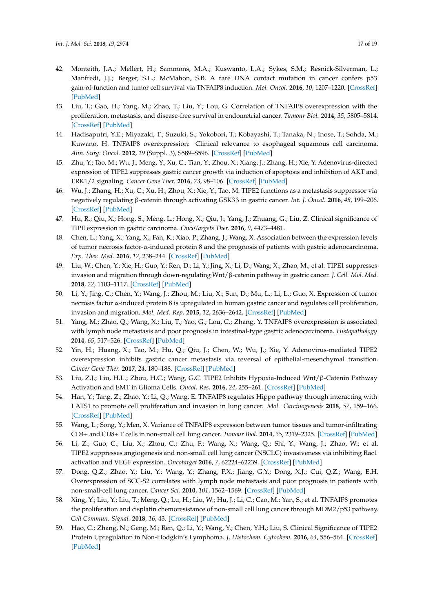- <span id="page-16-7"></span><span id="page-16-6"></span><span id="page-16-5"></span><span id="page-16-4"></span><span id="page-16-3"></span><span id="page-16-2"></span><span id="page-16-1"></span><span id="page-16-0"></span>42. Monteith, J.A.; Mellert, H.; Sammons, M.A.; Kuswanto, L.A.; Sykes, S.M.; Resnick-Silverman, L.; Manfredi, J.J.; Berger, S.L.; McMahon, S.B. A rare DNA contact mutation in cancer confers p53 gain-of-function and tumor cell survival via TNFAIP8 induction. *Mol. Oncol.* **2016**, *10*, 1207–1220. [\[CrossRef\]](http://dx.doi.org/10.1016/j.molonc.2016.05.007) [\[PubMed\]](http://www.ncbi.nlm.nih.gov/pubmed/27341992)
- <span id="page-16-8"></span>43. Liu, T.; Gao, H.; Yang, M.; Zhao, T.; Liu, Y.; Lou, G. Correlation of TNFAIP8 overexpression with the proliferation, metastasis, and disease-free survival in endometrial cancer. *Tumour Biol.* **2014**, *35*, 5805–5814. [\[CrossRef\]](http://dx.doi.org/10.1007/s13277-014-1770-y) [\[PubMed\]](http://www.ncbi.nlm.nih.gov/pubmed/24590269)
- <span id="page-16-9"></span>44. Hadisaputri, Y.E.; Miyazaki, T.; Suzuki, S.; Yokobori, T.; Kobayashi, T.; Tanaka, N.; Inose, T.; Sohda, M.; Kuwano, H. TNFAIP8 overexpression: Clinical relevance to esophageal squamous cell carcinoma. *Ann. Surg. Oncol.* **2012**, *19* (Suppl. 3), S589–S596. [\[CrossRef\]](http://dx.doi.org/10.1245/s10434-011-2097-1) [\[PubMed\]](http://www.ncbi.nlm.nih.gov/pubmed/21969086)
- <span id="page-16-10"></span>45. Zhu, Y.; Tao, M.; Wu, J.; Meng, Y.; Xu, C.; Tian, Y.; Zhou, X.; Xiang, J.; Zhang, H.; Xie, Y. Adenovirus-directed expression of TIPE2 suppresses gastric cancer growth via induction of apoptosis and inhibition of AKT and ERK1/2 signaling. *Cancer Gene Ther.* **2016**, *23*, 98–106. [\[CrossRef\]](http://dx.doi.org/10.1038/cgt.2016.6) [\[PubMed\]](http://www.ncbi.nlm.nih.gov/pubmed/26987289)
- <span id="page-16-11"></span>46. Wu, J.; Zhang, H.; Xu, C.; Xu, H.; Zhou, X.; Xie, Y.; Tao, M. TIPE2 functions as a metastasis suppressor via negatively regulating β-catenin through activating GSK3β in gastric cancer. *Int. J. Oncol.* **2016**, *48*, 199–206. [\[CrossRef\]](http://dx.doi.org/10.3892/ijo.2015.3224) [\[PubMed\]](http://www.ncbi.nlm.nih.gov/pubmed/26530498)
- <span id="page-16-12"></span>47. Hu, R.; Qiu, X.; Hong, S.; Meng, L.; Hong, X.; Qiu, J.; Yang, J.; Zhuang, G.; Liu, Z. Clinical significance of TIPE expression in gastric carcinoma. *OncoTargets Ther.* **2016**, *9*, 4473–4481.
- <span id="page-16-13"></span>48. Chen, L.; Yang, X.; Yang, X.; Fan, K.; Xiao, P.; Zhang, J.; Wang, X. Association between the expression levels of tumor necrosis factor-α-induced protein 8 and the prognosis of patients with gastric adenocarcinoma. *Exp. Ther. Med.* **2016**, *12*, 238–244. [\[CrossRef\]](http://dx.doi.org/10.3892/etm.2016.3327) [\[PubMed\]](http://www.ncbi.nlm.nih.gov/pubmed/27347043)
- <span id="page-16-14"></span>49. Liu, W.; Chen, Y.; Xie, H.; Guo, Y.; Ren, D.; Li, Y.; Jing, X.; Li, D.; Wang, X.; Zhao, M.; et al. TIPE1 suppresses invasion and migration through down-regulating Wnt/β-catenin pathway in gastric cancer. *J. Cell. Mol. Med.* **2018**, *22*, 1103–1117. [\[CrossRef\]](http://dx.doi.org/10.1111/jcmm.13362) [\[PubMed\]](http://www.ncbi.nlm.nih.gov/pubmed/28994231)
- <span id="page-16-15"></span>50. Li, Y.; Jing, C.; Chen, Y.; Wang, J.; Zhou, M.; Liu, X.; Sun, D.; Mu, L.; Li, L.; Guo, X. Expression of tumor necrosis factor α-induced protein 8 is upregulated in human gastric cancer and regulates cell proliferation, invasion and migration. *Mol. Med. Rep.* **2015**, *12*, 2636–2642. [\[CrossRef\]](http://dx.doi.org/10.3892/mmr.2015.3690) [\[PubMed\]](http://www.ncbi.nlm.nih.gov/pubmed/25936980)
- <span id="page-16-16"></span>51. Yang, M.; Zhao, Q.; Wang, X.; Liu, T.; Yao, G.; Lou, C.; Zhang, Y. TNFAIP8 overexpression is associated with lymph node metastasis and poor prognosis in intestinal-type gastric adenocarcinoma. *Histopathology* **2014**, *65*, 517–526. [\[CrossRef\]](http://dx.doi.org/10.1111/his.12413) [\[PubMed\]](http://www.ncbi.nlm.nih.gov/pubmed/24621012)
- <span id="page-16-17"></span>52. Yin, H.; Huang, X.; Tao, M.; Hu, Q.; Qiu, J.; Chen, W.; Wu, J.; Xie, Y. Adenovirus-mediated TIPE2 overexpression inhibits gastric cancer metastasis via reversal of epithelial-mesenchymal transition. *Cancer Gene Ther.* **2017**, *24*, 180–188. [\[CrossRef\]](http://dx.doi.org/10.1038/cgt.2017.3) [\[PubMed\]](http://www.ncbi.nlm.nih.gov/pubmed/28186089)
- 53. Liu, Z.J.; Liu, H.L.; Zhou, H.C.; Wang, G.C. TIPE2 Inhibits Hypoxia-Induced Wnt/β-Catenin Pathway Activation and EMT in Glioma Cells. *Oncol. Res.* **2016**, *24*, 255–261. [\[CrossRef\]](http://dx.doi.org/10.3727/096504016X14666990347356) [\[PubMed\]](http://www.ncbi.nlm.nih.gov/pubmed/27656836)
- 54. Han, Y.; Tang, Z.; Zhao, Y.; Li, Q.; Wang, E. TNFAIP8 regulates Hippo pathway through interacting with LATS1 to promote cell proliferation and invasion in lung cancer. *Mol. Carcinogenesis* **2018**, *57*, 159–166. [\[CrossRef\]](http://dx.doi.org/10.1002/mc.22740) [\[PubMed\]](http://www.ncbi.nlm.nih.gov/pubmed/28926138)
- 55. Wang, L.; Song, Y.; Men, X. Variance of TNFAIP8 expression between tumor tissues and tumor-infiltrating CD4+ and CD8+ T cells in non-small cell lung cancer. *Tumour Biol.* **2014**, *35*, 2319–2325. [\[CrossRef\]](http://dx.doi.org/10.1007/s13277-013-1307-9) [\[PubMed\]](http://www.ncbi.nlm.nih.gov/pubmed/24136748)
- 56. Li, Z.; Guo, C.; Liu, X.; Zhou, C.; Zhu, F.; Wang, X.; Wang, Q.; Shi, Y.; Wang, J.; Zhao, W.; et al. TIPE2 suppresses angiogenesis and non-small cell lung cancer (NSCLC) invasiveness via inhibiting Rac1 activation and VEGF expression. *Oncotarget* **2016**, *7*, 62224–62239. [\[CrossRef\]](http://dx.doi.org/10.18632/oncotarget.11406) [\[PubMed\]](http://www.ncbi.nlm.nih.gov/pubmed/27556698)
- 57. Dong, Q.Z.; Zhao, Y.; Liu, Y.; Wang, Y.; Zhang, P.X.; Jiang, G.Y.; Dong, X.J.; Cui, Q.Z.; Wang, E.H. Overexpression of SCC-S2 correlates with lymph node metastasis and poor prognosis in patients with non-small-cell lung cancer. *Cancer Sci.* **2010**, *101*, 1562–1569. [\[CrossRef\]](http://dx.doi.org/10.1111/j.1349-7006.2010.01557.x) [\[PubMed\]](http://www.ncbi.nlm.nih.gov/pubmed/20398053)
- 58. Xing, Y.; Liu, Y.; Liu, T.; Meng, Q.; Lu, H.; Liu, W.; Hu, J.; Li, C.; Cao, M.; Yan, S.; et al. TNFAIP8 promotes the proliferation and cisplatin chemoresistance of non-small cell lung cancer through MDM2/p53 pathway. *Cell Commun. Signal.* **2018**, *16*, 43. [\[CrossRef\]](http://dx.doi.org/10.1186/s12964-018-0254-x) [\[PubMed\]](http://www.ncbi.nlm.nih.gov/pubmed/30064446)
- 59. Hao, C.; Zhang, N.; Geng, M.; Ren, Q.; Li, Y.; Wang, Y.; Chen, Y.H.; Liu, S. Clinical Significance of TIPE2 Protein Upregulation in Non-Hodgkin's Lymphoma. *J. Histochem. Cytochem.* **2016**, *64*, 556–564. [\[CrossRef\]](http://dx.doi.org/10.1369/0022155416662262) [\[PubMed\]](http://www.ncbi.nlm.nih.gov/pubmed/27578327)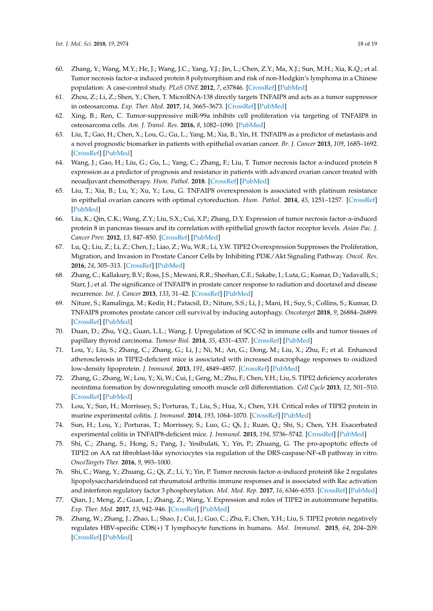- <span id="page-17-7"></span><span id="page-17-6"></span><span id="page-17-5"></span><span id="page-17-4"></span><span id="page-17-3"></span><span id="page-17-2"></span><span id="page-17-1"></span><span id="page-17-0"></span>60. Zhang, Y.; Wang, M.Y.; He, J.; Wang, J.C.; Yang, Y.J.; Jin, L.; Chen, Z.Y.; Ma, X.J.; Sun, M.H.; Xia, K.Q.; et al. Tumor necrosis factor-α induced protein 8 polymorphism and risk of non-Hodgkin's lymphoma in a Chinese population: A case-control study. *PLoS ONE* **2012**, *7*, e37846. [\[CrossRef\]](http://dx.doi.org/10.1371/journal.pone.0037846) [\[PubMed\]](http://www.ncbi.nlm.nih.gov/pubmed/22666399)
- <span id="page-17-8"></span>61. Zhou, Z.; Li, Z.; Shen, Y.; Chen, T. MicroRNA-138 directly targets TNFAIP8 and acts as a tumor suppressor in osteosarcoma. *Exp. Ther. Med.* **2017**, *14*, 3665–3673. [\[CrossRef\]](http://dx.doi.org/10.3892/etm.2017.4947) [\[PubMed\]](http://www.ncbi.nlm.nih.gov/pubmed/29042962)
- <span id="page-17-9"></span>62. Xing, B.; Ren, C. Tumor-suppressive miR-99a inhibits cell proliferation via targeting of TNFAIP8 in osteosarcoma cells. *Am. J. Transl. Res.* **2016**, *8*, 1082–1090. [\[PubMed\]](http://www.ncbi.nlm.nih.gov/pubmed/27158394)
- 63. Liu, T.; Gao, H.; Chen, X.; Lou, G.; Gu, L.; Yang, M.; Xia, B.; Yin, H. TNFAIP8 as a predictor of metastasis and a novel prognostic biomarker in patients with epithelial ovarian cancer. *Br. J. Cancer* **2013**, *109*, 1685–1692. [\[CrossRef\]](http://dx.doi.org/10.1038/bjc.2013.501) [\[PubMed\]](http://www.ncbi.nlm.nih.gov/pubmed/23982604)
- <span id="page-17-11"></span><span id="page-17-10"></span>64. Wang, J.; Gao, H.; Liu, G.; Gu, L.; Yang, C.; Zhang, F.; Liu, T. Tumor necrosis factor α-induced protein 8 expression as a predictor of prognosis and resistance in patients with advanced ovarian cancer treated with neoadjuvant chemotherapy. *Hum. Pathol.* **2018**. [\[CrossRef\]](http://dx.doi.org/10.1016/j.humpath.2018.02.031) [\[PubMed\]](http://www.ncbi.nlm.nih.gov/pubmed/30107189)
- <span id="page-17-12"></span>65. Liu, T.; Xia, B.; Lu, Y.; Xu, Y.; Lou, G. TNFAIP8 overexpression is associated with platinum resistance in epithelial ovarian cancers with optimal cytoreduction. *Hum. Pathol.* **2014**, *45*, 1251–1257. [\[CrossRef\]](http://dx.doi.org/10.1016/j.humpath.2014.02.005) [\[PubMed\]](http://www.ncbi.nlm.nih.gov/pubmed/24767861)
- <span id="page-17-13"></span>66. Liu, K.; Qin, C.K.; Wang, Z.Y.; Liu, S.X.; Cui, X.P.; Zhang, D.Y. Expression of tumor necrosis factor-α-induced protein 8 in pancreas tissues and its correlation with epithelial growth factor receptor levels. *Asian Pac. J. Cancer Prev.* **2012**, *13*, 847–850. [\[CrossRef\]](http://dx.doi.org/10.7314/APJCP.2012.13.3.847) [\[PubMed\]](http://www.ncbi.nlm.nih.gov/pubmed/22631659)
- <span id="page-17-14"></span>67. Lu, Q.; Liu, Z.; Li, Z.; Chen, J.; Liao, Z.; Wu, W.R.; Li, Y.W. TIPE2 Overexpression Suppresses the Proliferation, Migration, and Invasion in Prostate Cancer Cells by Inhibiting PI3K/Akt Signaling Pathway. *Oncol. Res.* **2016**, *24*, 305–313. [\[CrossRef\]](http://dx.doi.org/10.3727/096504016X14666990347437) [\[PubMed\]](http://www.ncbi.nlm.nih.gov/pubmed/27712587)
- <span id="page-17-15"></span>68. Zhang, C.; Kallakury, B.V.; Ross, J.S.; Mewani, R.R.; Sheehan, C.E.; Sakabe, I.; Luta, G.; Kumar, D.; Yadavalli, S.; Starr, J.; et al. The significance of TNFAIP8 in prostate cancer response to radiation and docetaxel and disease recurrence. *Int. J. Cancer* **2013**, *133*, 31–42. [\[CrossRef\]](http://dx.doi.org/10.1002/ijc.27996) [\[PubMed\]](http://www.ncbi.nlm.nih.gov/pubmed/23280553)
- <span id="page-17-16"></span>69. Niture, S.; Ramalinga, M.; Kedir, H.; Patacsil, D.; Niture, S.S.; Li, J.; Mani, H.; Suy, S.; Collins, S.; Kumar, D. TNFAIP8 promotes prostate cancer cell survival by inducing autophagy. *Oncotarget* **2018**, *9*, 26884–26899. [\[CrossRef\]](http://dx.doi.org/10.18632/oncotarget.25529) [\[PubMed\]](http://www.ncbi.nlm.nih.gov/pubmed/29928491)
- <span id="page-17-18"></span><span id="page-17-17"></span>70. Duan, D.; Zhu, Y.Q.; Guan, L.L.; Wang, J. Upregulation of SCC-S2 in immune cells and tumor tissues of papillary thyroid carcinoma. *Tumour Biol.* **2014**, *35*, 4331–4337. [\[CrossRef\]](http://dx.doi.org/10.1007/s13277-013-1568-3) [\[PubMed\]](http://www.ncbi.nlm.nih.gov/pubmed/24464924)
- <span id="page-17-19"></span>71. Lou, Y.; Liu, S.; Zhang, C.; Zhang, G.; Li, J.; Ni, M.; An, G.; Dong, M.; Liu, X.; Zhu, F.; et al. Enhanced atherosclerosis in TIPE2-deficient mice is associated with increased macrophage responses to oxidized low-density lipoprotein. *J. Immunol.* **2013**, *191*, 4849–4857. [\[CrossRef\]](http://dx.doi.org/10.4049/jimmunol.1300053) [\[PubMed\]](http://www.ncbi.nlm.nih.gov/pubmed/24081993)
- <span id="page-17-20"></span>72. Zhang, G.; Zhang, W.; Lou, Y.; Xi, W.; Cui, J.; Geng, M.; Zhu, F.; Chen, Y.H.; Liu, S. TIPE2 deficiency accelerates neointima formation by downregulating smooth muscle cell differentiation. *Cell Cycle* **2013**, *12*, 501–510. [\[CrossRef\]](http://dx.doi.org/10.4161/cc.23325) [\[PubMed\]](http://www.ncbi.nlm.nih.gov/pubmed/23324338)
- <span id="page-17-21"></span>73. Lou, Y.; Sun, H.; Morrissey, S.; Porturas, T.; Liu, S.; Hua, X.; Chen, Y.H. Critical roles of TIPE2 protein in murine experimental colitis. *J. Immunol.* **2014**, *193*, 1064–1070. [\[CrossRef\]](http://dx.doi.org/10.4049/jimmunol.1400415) [\[PubMed\]](http://www.ncbi.nlm.nih.gov/pubmed/24973456)
- <span id="page-17-22"></span>74. Sun, H.; Lou, Y.; Porturas, T.; Morrissey, S.; Luo, G.; Qi, J.; Ruan, Q.; Shi, S.; Chen, Y.H. Exacerbated experimental colitis in TNFAIP8-deficient mice. *J. Immunol.* **2015**, *194*, 5736–5742. [\[CrossRef\]](http://dx.doi.org/10.4049/jimmunol.1401986) [\[PubMed\]](http://www.ncbi.nlm.nih.gov/pubmed/25948814)
- <span id="page-17-23"></span>75. Shi, C.; Zhang, S.; Hong, S.; Pang, J.; Yesibulati, Y.; Yin, P.; Zhuang, G. The pro-apoptotic effects of TIPE2 on AA rat fibroblast-like synoviocytes via regulation of the DR5-caspase-NF-κB pathway in vitro. *OncoTargets Ther.* **2016**, *9*, 993–1000.
- <span id="page-17-24"></span>76. Shi, C.; Wang, Y.; Zhuang, G.; Qi, Z.; Li, Y.; Yin, P. Tumor necrosis factor-α-induced protein8 like 2 regulates lipopolysaccharideinduced rat rheumatoid arthritis immune responses and is associated with Rac activation and interferon regulatory factor 3 phosphorylation. *Mol. Med. Rep.* **2017**, *16*, 6346–6353. [\[CrossRef\]](http://dx.doi.org/10.3892/mmr.2017.7311) [\[PubMed\]](http://www.ncbi.nlm.nih.gov/pubmed/28849230)
- <span id="page-17-25"></span>77. Qian, J.; Meng, Z.; Guan, J.; Zhang, Z.; Wang, Y. Expression and roles of TIPE2 in autoimmune hepatitis. *Exp. Ther. Med.* **2017**, *13*, 942–946. [\[CrossRef\]](http://dx.doi.org/10.3892/etm.2017.4050) [\[PubMed\]](http://www.ncbi.nlm.nih.gov/pubmed/28450923)
- <span id="page-17-26"></span>78. Zhang, W.; Zhang, J.; Zhao, L.; Shao, J.; Cui, J.; Guo, C.; Zhu, F.; Chen, Y.H.; Liu, S. TIPE2 protein negatively regulates HBV-specific CD8(+) T lymphocyte functions in humans. *Mol. Immunol.* **2015**, *64*, 204–209. [\[CrossRef\]](http://dx.doi.org/10.1016/j.molimm.2014.11.019) [\[PubMed\]](http://www.ncbi.nlm.nih.gov/pubmed/25499447)